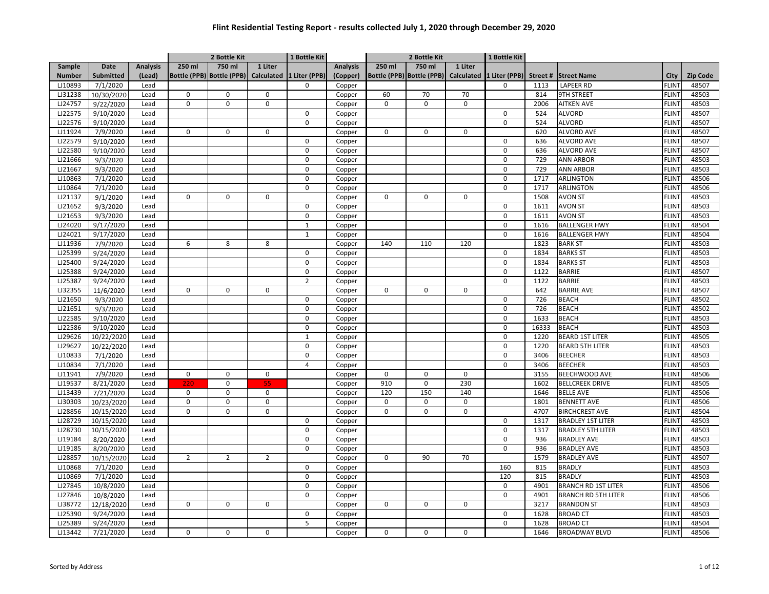|               |                  |                 |             | 2 Bottle Kit              |                | 1 Bottle Kit             |                 |             | 2 Bottle Kit                         |             | 1 Bottle Kit  |         |                            |              |                 |
|---------------|------------------|-----------------|-------------|---------------------------|----------------|--------------------------|-----------------|-------------|--------------------------------------|-------------|---------------|---------|----------------------------|--------------|-----------------|
| Sample        | <b>Date</b>      | <b>Analysis</b> | 250 ml      | 750 ml                    | 1 Liter        |                          | <b>Analysis</b> | 250 ml      | 750 ml                               | 1 Liter     |               |         |                            |              |                 |
| <b>Number</b> | <b>Submitted</b> | (Lead)          |             | Bottle (PPB) Bottle (PPB) |                | Calculated 1 Liter (PPB) | (Copper)        |             | Bottle (PPB) Bottle (PPB) Calculated |             | 1 Liter (PPB) | Street# | <b>Street Name</b>         | City         | <b>Zip Code</b> |
| LJ10893       | 7/1/2020         | Lead            |             |                           |                | 0                        | Copper          |             |                                      |             | 0             | 1113    | <b>LAPEER RD</b>           | <b>FLINT</b> | 48507           |
| LJ31238       | 10/30/2020       | Lead            | 0           | 0                         | $\mathbf 0$    |                          | Copper          | 60          | 70                                   | 70          |               | 814     | <b>9TH STREET</b>          | <b>FLINT</b> | 48503           |
| LJ24757       | 9/22/2020        | Lead            | $\mathbf 0$ | 0                         | $\mathbf 0$    |                          | Copper          | $\mathbf 0$ | 0                                    | 0           |               | 2006    | <b>AITKEN AVE</b>          | <b>FLINT</b> | 48503           |
| LJ22575       | 9/10/2020        | Lead            |             |                           |                | $\mathbf 0$              | Copper          |             |                                      |             | $\mathbf 0$   | 524     | <b>ALVORD</b>              | <b>FLINT</b> | 48507           |
| LJ22576       | 9/10/2020        | Lead            |             |                           |                | $\mathbf 0$              | Copper          |             |                                      |             | $\mathbf 0$   | 524     | <b>ALVORD</b>              | <b>FLINT</b> | 48507           |
| LJ11924       | 7/9/2020         | Lead            | $\Omega$    | 0                         | 0              |                          | Copper          | $\mathbf 0$ | 0                                    | 0           |               | 620     | <b>ALVORD AVE</b>          | <b>FLINT</b> | 48507           |
| LJ22579       | 9/10/2020        | Lead            |             |                           |                | 0                        | Copper          |             |                                      |             | $\mathsf{O}$  | 636     | <b>ALVORD AVE</b>          | <b>FLINT</b> | 48507           |
| LJ22580       | 9/10/2020        | Lead            |             |                           |                | $\mathbf 0$              | Copper          |             |                                      |             | $\mathbf 0$   | 636     | <b>ALVORD AVE</b>          | <b>FLINT</b> | 48507           |
| LJ21666       | 9/3/2020         | Lead            |             |                           |                | $\pmb{0}$                | Copper          |             |                                      |             | $\mathbf 0$   | 729     | <b>ANN ARBOR</b>           | <b>FLINT</b> | 48503           |
| LJ21667       | 9/3/2020         | Lead            |             |                           |                | 0                        | Copper          |             |                                      |             | $\Omega$      | 729     | <b>ANN ARBOR</b>           | <b>FLINT</b> | 48503           |
| LJ10863       | 7/1/2020         | Lead            |             |                           |                | $\mathbf 0$              | Copper          |             |                                      |             | $\mathbf 0$   | 1717    | ARLINGTON                  | <b>FLINT</b> | 48506           |
| LJ10864       | 7/1/2020         | Lead            |             |                           |                | $\mathbf 0$              | Copper          |             |                                      |             | $\mathbf 0$   | 1717    | ARLINGTON                  | <b>FLINT</b> | 48506           |
| LJ21137       | 9/1/2020         | Lead            | $\Omega$    | 0                         | $\mathbf 0$    |                          | Copper          | $\mathbf 0$ | 0                                    | $\mathbf 0$ |               | 1508    | <b>AVON ST</b>             | <b>FLINT</b> | 48503           |
| LJ21652       | 9/3/2020         | Lead            |             |                           |                | 0                        | Copper          |             |                                      |             | $\mathbf 0$   | 1611    | <b>AVON ST</b>             | <b>FLINT</b> | 48503           |
| LJ21653       | 9/3/2020         | Lead            |             |                           |                | 0                        | Copper          |             |                                      |             | $\mathbf 0$   | 1611    | <b>AVON ST</b>             | <b>FLINT</b> | 48503           |
| LJ24020       | 9/17/2020        | Lead            |             |                           |                | $\mathbf{1}$             | Copper          |             |                                      |             | 0             | 1616    | <b>BALLENGER HWY</b>       | <b>FLINT</b> | 48504           |
| LJ24021       | 9/17/2020        | Lead            |             |                           |                | $\mathbf{1}$             | Copper          |             |                                      |             | $\mathbf 0$   | 1616    | <b>BALLENGER HWY</b>       | <b>FLINT</b> | 48504           |
| LJ11936       | 7/9/2020         | Lead            | 6           | 8                         | 8              |                          | Copper          | 140         | 110                                  | 120         |               | 1823    | <b>BARK ST</b>             | <b>FLINT</b> | 48503           |
| LJ25399       | 9/24/2020        | Lead            |             |                           |                | $\mathbf 0$              | Copper          |             |                                      |             | $\mathbf 0$   | 1834    | <b>BARKS ST</b>            | <b>FLINT</b> | 48503           |
| LJ25400       | 9/24/2020        | Lead            |             |                           |                | $\mathbf 0$              | Copper          |             |                                      |             | $\mathbf 0$   | 1834    | <b>BARKS ST</b>            | <b>FLINT</b> | 48503           |
| LJ25388       | 9/24/2020        | Lead            |             |                           |                | 0                        | Copper          |             |                                      |             | 0             | 1122    | <b>BARRIE</b>              | <b>FLINT</b> | 48507           |
| LJ25387       | 9/24/2020        | Lead            |             |                           |                | 2                        | Copper          |             |                                      |             | $\mathbf 0$   | 1122    | <b>BARRIE</b>              | <b>FLINT</b> | 48503           |
| LJ32355       | 11/6/2020        | Lead            | $\mathbf 0$ | 0                         | $\mathbf 0$    |                          | Copper          | $\mathbf 0$ | 0                                    | $\mathsf 0$ |               | 642     | <b>BARRIE AVE</b>          | <b>FLINT</b> | 48507           |
| LJ21650       | 9/3/2020         | Lead            |             |                           |                | $\mathbf 0$              | Copper          |             |                                      |             | $\mathbf 0$   | 726     | <b>BEACH</b>               | <b>FLINT</b> | 48502           |
| LJ21651       | 9/3/2020         | Lead            |             |                           |                | $\mathbf 0$              | Copper          |             |                                      |             | $\mathbf 0$   | 726     | <b>BEACH</b>               | <b>FLINT</b> | 48502           |
| LJ22585       | 9/10/2020        | Lead            |             |                           |                | $\mathbf 0$              | Copper          |             |                                      |             | $\mathbf 0$   | 1633    | <b>BEACH</b>               | <b>FLINT</b> | 48503           |
| LJ22586       | 9/10/2020        | Lead            |             |                           |                | $\mathbf 0$              | Copper          |             |                                      |             | $\mathbf 0$   | 16333   | <b>BEACH</b>               | <b>FLINT</b> | 48503           |
| LJ29626       | 10/22/2020       | Lead            |             |                           |                | $\mathbf{1}$             | Copper          |             |                                      |             | $\mathbf 0$   | 1220    | <b>BEARD 1ST LITER</b>     | <b>FLINT</b> | 48505           |
| LJ29627       | 10/22/2020       | Lead            |             |                           |                | $\mathbf 0$              | Copper          |             |                                      |             | $\mathbf 0$   | 1220    | <b>BEARD 5TH LITER</b>     | <b>FLINT</b> | 48503           |
| LJ10833       | 7/1/2020         | Lead            |             |                           |                | 0                        | Copper          |             |                                      |             | $\mathbf 0$   | 3406    | <b>BEECHER</b>             | <b>FLINT</b> | 48503           |
| LJ10834       | 7/1/2020         | Lead            |             |                           |                | 4                        | Copper          |             |                                      |             | $\mathbf 0$   | 3406    | <b>BEECHER</b>             | <b>FLINT</b> | 48503           |
| LJ11941       | 7/9/2020         | Lead            | $\mathbf 0$ | 0                         | $\mathbf 0$    |                          | Copper          | $\mathbf 0$ | 0                                    | 0           |               | 3155    | BEECHWOOD AVE              | <b>FLINT</b> | 48506           |
| LJ19537       | 8/21/2020        | Lead            | 220         | 0                         | 55             |                          | Copper          | 910         | 0                                    | 230         |               | 1602    | <b>BELLCREEK DRIVE</b>     | <b>FLINT</b> | 48505           |
| LJ13439       | 7/21/2020        | Lead            | $\Omega$    | $\Omega$                  | 0              |                          | Copper          | 120         | 150                                  | 140         |               | 1646    | <b>BELLE AVE</b>           | <b>FLINT</b> | 48506           |
| LJ30303       | 10/23/2020       | Lead            | $\Omega$    | 0                         | $\mathsf 0$    |                          | Copper          | $\mathbf 0$ | $\Omega$                             | 0           |               | 1801    | <b>BENNETT AVE</b>         | <b>FLINT</b> | 48506           |
| LJ28856       | 10/15/2020       | Lead            | $\Omega$    | 0                         | $\mathbf 0$    |                          | Copper          | $\mathbf 0$ | $\Omega$                             | 0           |               | 4707    | <b>BIRCHCREST AVE</b>      | <b>FLINT</b> | 48504           |
| LJ28729       | 10/15/2020       | Lead            |             |                           |                | $\mathbf 0$              | Copper          |             |                                      |             | $\mathbf 0$   | 1317    | <b>BRADLEY 1ST LITER</b>   | <b>FLINT</b> | 48503           |
| LJ28730       | 10/15/2020       | Lead            |             |                           |                | $\mathbf 0$              | Copper          |             |                                      |             | $\mathbf 0$   | 1317    | <b>BRADLEY 5TH LITER</b>   | <b>FLINT</b> | 48503           |
| LJ19184       | 8/20/2020        | Lead            |             |                           |                | 0                        | Copper          |             |                                      |             | 0             | 936     | <b>BRADLEY AVE</b>         | <b>FLINT</b> | 48503           |
| LJ19185       | 8/20/2020        | Lead            |             |                           |                | 0                        | Copper          |             |                                      |             | $\mathbf 0$   | 936     | <b>BRADLEY AVE</b>         | <b>FLINT</b> | 48503           |
| LJ28857       | 10/15/2020       | Lead            | 2           | $\overline{2}$            | $\overline{2}$ |                          | Copper          | $\mathbf 0$ | 90                                   | 70          |               | 1579    | <b>BRADLEY AVE</b>         | <b>FLINT</b> | 48507           |
| LJ10868       | 7/1/2020         | Lead            |             |                           |                | $\mathbf 0$              | Copper          |             |                                      |             | 160           | 815     | <b>BRADLY</b>              | <b>FLINT</b> | 48503           |
| LJ10869       | 7/1/2020         | Lead            |             |                           |                | $\Omega$                 | Copper          |             |                                      |             | 120           | 815     | <b>BRADLY</b>              | <b>FLINT</b> | 48503           |
| LJ27845       | 10/8/2020        | Lead            |             |                           |                | $\mathbf 0$              | Copper          |             |                                      |             | $\mathbf 0$   | 4901    | <b>BRANCH RD 1ST LITER</b> | <b>FLINT</b> | 48506           |
| LJ27846       | 10/8/2020        | Lead            |             |                           |                | $\mathbf 0$              | Copper          |             |                                      |             | $\mathbf 0$   | 4901    | <b>BRANCH RD 5TH LITER</b> | <b>FLINT</b> | 48506           |
| LJ38772       | 12/18/2020       | Lead            | $\pmb{0}$   | 0                         | $\mathbf 0$    |                          | Copper          | $\mathbf 0$ | 0                                    | $\mathsf 0$ |               | 3217    | <b>BRANDON ST</b>          | <b>FLINT</b> | 48503           |
| LJ25390       | 9/24/2020        | Lead            |             |                           |                | 0                        | Copper          |             |                                      |             | $\mathbf 0$   | 1628    | <b>BROAD CT</b>            | <b>FLINT</b> | 48503           |
| LJ25389       | 9/24/2020        | Lead            |             |                           |                | 5                        | Copper          |             |                                      |             | 0             | 1628    | <b>BROAD CT</b>            | <b>FLINT</b> | 48504           |
| LJ13442       | 7/21/2020        | Lead            | 0           | 0                         | 0              |                          | Copper          | 0           | 0                                    | 0           |               | 1646    | <b>BROADWAY BLVD</b>       | <b>FLINT</b> | 48506           |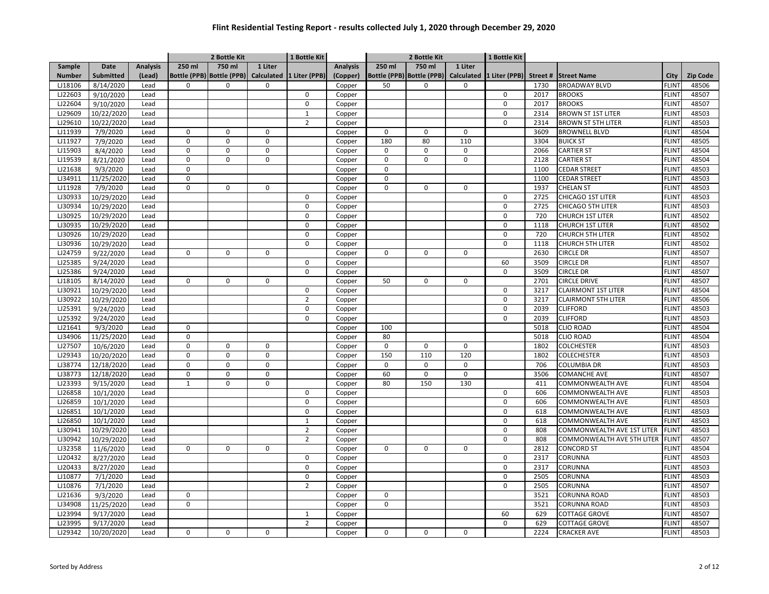|               |                  |                 |              | 2 Bottle Kit              |             | 1 Bottle Kit   |          |             | 2 Bottle Kit                         |             | 1 Bottle Kit  |         |                            |                   |          |
|---------------|------------------|-----------------|--------------|---------------------------|-------------|----------------|----------|-------------|--------------------------------------|-------------|---------------|---------|----------------------------|-------------------|----------|
| Sample        | <b>Date</b>      | <b>Analysis</b> | 250 ml       | 750 ml                    | 1 Liter     |                | Analysis | 250 ml      | 750 ml                               | 1 Liter     |               |         |                            |                   |          |
| <b>Number</b> | <b>Submitted</b> | (Lead)          |              | Bottle (PPB) Bottle (PPB) | Calculated  | 1 Liter (PPB)  | (Copper) |             | Bottle (PPB) Bottle (PPB) Calculated |             | 1 Liter (PPB) | Street# | <b>Street Name</b>         | City              | Zip Code |
| LJ18106       | 8/14/2020        | Lead            | $\Omega$     | $\mathbf 0$               | 0           |                | Copper   | 50          | $\mathbf 0$                          | 0           |               | 1730    | <b>BROADWAY BLVD</b>       | <b>FLINT</b>      | 48506    |
| LJ22603       | 9/10/2020        | Lead            |              |                           |             | 0              | Copper   |             |                                      |             | 0             | 2017    | <b>BROOKS</b>              | <b>FLINT</b>      | 48507    |
| LJ22604       | 9/10/2020        | Lead            |              |                           |             | 0              | Copper   |             |                                      |             | 0             | 2017    | <b>BROOKS</b>              | <b>FLINT</b>      | 48507    |
| LJ29609       | 10/22/2020       | Lead            |              |                           |             | $\mathbf 1$    | Copper   |             |                                      |             | $\Omega$      | 2314    | <b>BROWN ST 1ST LITER</b>  | <b>FLINT</b>      | 48503    |
| LJ29610       | 10/22/2020       | Lead            |              |                           |             | $\overline{2}$ | Copper   |             |                                      |             | 0             | 2314    | <b>BROWN ST 5TH LITER</b>  | <b>FLINT</b>      | 48503    |
| LJ11939       | 7/9/2020         | Lead            | $\mathbf 0$  | $\mathbf 0$               | 0           |                | Copper   | $\mathbf 0$ | $\mathbf 0$                          | $\mathbf 0$ |               | 3609    | <b>BROWNELL BLVD</b>       | <b>FLINT</b>      | 48504    |
| LJ11927       | 7/9/2020         | Lead            | $\pmb{0}$    | $\Omega$                  | $\mathbf 0$ |                | Copper   | 180         | 80                                   | 110         |               | 3304    | <b>BUICK ST</b>            | <b>FLINT</b>      | 48505    |
| LJ15903       | 8/4/2020         | Lead            | $\pmb{0}$    | $\mathbf 0$               | 0           |                | Copper   | $\mathbf 0$ | $\pmb{0}$                            | $\mathbf 0$ |               | 2066    | <b>CARTIER ST</b>          | <b>FLINT</b>      | 48504    |
| LJ19539       | 8/21/2020        | Lead            | $\mathbf 0$  | 0                         | $\mathbf 0$ |                | Copper   | $\mathbf 0$ | $\mathbf 0$                          | $\pmb{0}$   |               | 2128    | <b>CARTIER ST</b>          | <b>FLINT</b>      | 48504    |
| LJ21638       | 9/3/2020         | Lead            | 0            |                           |             |                | Copper   | $\mathbf 0$ |                                      |             |               | 1100    | <b>CEDAR STREET</b>        | <b>FLINT</b>      | 48503    |
| LJ34911       | 11/25/2020       | Lead            | $\Omega$     |                           |             |                | Copper   | $\mathbf 0$ |                                      |             |               | 1100    | <b>CEDAR STREET</b>        | <b>FLINT</b>      | 48503    |
| LJ11928       | 7/9/2020         | Lead            | $\Omega$     | 0                         | 0           |                | Copper   | $\Omega$    | $\mathbf 0$                          | $\mathbf 0$ |               | 1937    | <b>CHELAN ST</b>           | <b>FLIN</b>       | 48503    |
| LJ30933       | 10/29/2020       | Lead            |              |                           |             | $\Omega$       | Copper   |             |                                      |             | 0             | 2725    | CHICAGO 1ST LITER          | <b>FLINT</b>      | 48503    |
| LJ30934       | 10/29/2020       | Lead            |              |                           |             | $\mathbf 0$    | Copper   |             |                                      |             | $\mathbf 0$   | 2725    | <b>CHICAGO 5TH LITER</b>   | <b>FLINT</b>      | 48503    |
| LJ30925       | 10/29/2020       | Lead            |              |                           |             | $\mathbf 0$    | Copper   |             |                                      |             | 0             | 720     | <b>CHURCH 1ST LITER</b>    | <b>FLINT</b>      | 48502    |
| LJ30935       | 10/29/2020       | Lead            |              |                           |             | $\mathbf 0$    | Copper   |             |                                      |             | 0             | 1118    | <b>CHURCH 1ST LITER</b>    | FLINT             | 48502    |
| LJ30926       | 10/29/2020       | Lead            |              |                           |             | $\mathbf 0$    | Copper   |             |                                      |             | 0             | 720     | <b>CHURCH 5TH LITER</b>    | <b>FLINT</b>      | 48502    |
| LJ30936       | 10/29/2020       | Lead            |              |                           |             | 0              | Copper   |             |                                      |             | 0             | 1118    | <b>CHURCH 5TH LITER</b>    | <b>FLINT</b>      | 48502    |
| LJ24759       | 9/22/2020        | Lead            | $\mathbf 0$  | $\mathbf 0$               | 0           |                | Copper   | $\mathbf 0$ | $\mathbf 0$                          | $\mathbf 0$ |               | 2630    | <b>CIRCLE DR</b>           | <b>FLINT</b>      | 48507    |
| LJ25385       | 9/24/2020        | Lead            |              |                           |             | $\Omega$       | Copper   |             |                                      |             | 60            | 3509    | <b>CIRCLE DR</b>           | <b>FLINT</b>      | 48507    |
| LJ25386       | 9/24/2020        | Lead            |              |                           |             | $\mathbf 0$    | Copper   |             |                                      |             | 0             | 3509    | <b>CIRCLE DR</b>           | <b>FLINT</b>      | 48507    |
| LJ18105       | 8/14/2020        | Lead            | $\Omega$     | 0                         | 0           |                | Copper   | 50          | $\mathbf 0$                          | $\Omega$    |               | 2701    | <b>CIRCLE DRIVE</b>        | <b>FLINT</b>      | 48507    |
| LJ30921       | 10/29/2020       | Lead            |              |                           |             | $\mathbf 0$    | Copper   |             |                                      |             | $\mathbf 0$   | 3217    | <b>CLAIRMONT 1ST LITER</b> | <b>FLINT</b>      | 48504    |
| LJ30922       | 10/29/2020       | Lead            |              |                           |             | $\overline{2}$ | Copper   |             |                                      |             | 0             | 3217    | <b>CLAIRMONT 5TH LITER</b> | <b>FLINT</b>      | 48506    |
| LJ25391       | 9/24/2020        | Lead            |              |                           |             | $\mathbf 0$    | Copper   |             |                                      |             | 0             | 2039    | <b>CLIFFORD</b>            | <b>FLINT</b>      | 48503    |
| LJ25392       | 9/24/2020        | Lead            |              |                           |             | 0              | Copper   |             |                                      |             | 0             | 2039    | <b>CLIFFORD</b>            | <b>FLINT</b>      | 48503    |
| LJ21641       | 9/3/2020         | Lead            | $\Omega$     |                           |             |                | Copper   | 100         |                                      |             |               | 5018    | <b>CLIO ROAD</b>           | <b>FLINT</b>      | 48504    |
| LJ34906       | 11/25/2020       | Lead            | $\Omega$     |                           |             |                | Copper   | 80          |                                      |             |               | 5018    | <b>CLIO ROAD</b>           | <b>FLINT</b>      | 48504    |
| LJ27507       | 10/6/2020        | Lead            | $\mathbf 0$  | 0                         | 0           |                | Copper   | $\mathbf 0$ | $\mathbf 0$                          | $\mathbf 0$ |               | 1802    | <b>COLCHESTER</b>          | <b>FLINT</b>      | 48503    |
| LJ29343       | 10/20/2020       | Lead            | $\Omega$     | $\mathbf 0$               | $\mathbf 0$ |                | Copper   | 150         | 110                                  | 120         |               | 1802    | <b>COLECHESTER</b>         | <b>FLINT</b>      | 48503    |
| LJ38774       | 12/18/2020       | Lead            | $\mathbf 0$  | $\mathbf 0$               | $\mathbf 0$ |                | Copper   | $\mathbf 0$ | $\mathbf 0$                          | $\mathbf 0$ |               | 706     | <b>COLUMBIA DR</b>         | <b>FLINT</b>      | 48503    |
| LJ38773       | 12/18/2020       | Lead            | $\mathbf 0$  | 0                         | 0           |                | Copper   | 60          | $\pmb{0}$                            | $\pmb{0}$   |               | 3506    | <b>COMANCHE AVE</b>        | <b>FLINT</b>      | 48507    |
| LJ23393       | 9/15/2020        | Lead            | $\mathbf{1}$ | $\mathbf 0$               | 0           |                | Copper   | 80          | 150                                  | 130         |               | 411     | <b>COMMONWEALTH AVE</b>    | <b>FLINT</b>      | 48504    |
| LJ26858       | 10/1/2020        | Lead            |              |                           |             | $\Omega$       | Copper   |             |                                      |             | 0             | 606     | <b>COMMONWEALTH AVE</b>    | <b>FLINT</b>      | 48503    |
| LJ26859       | 10/1/2020        | Lead            |              |                           |             | $\Omega$       | Copper   |             |                                      |             | 0             | 606     | COMMONWEALTH AVE           | <b>FLIN</b>       | 48503    |
| LJ26851       | 10/1/2020        | Lead            |              |                           |             | $\Omega$       | Copper   |             |                                      |             | 0             | 618     | COMMONWEALTH AVE           | <b>FLINT</b>      | 48503    |
| LJ26850       | 10/1/2020        | Lead            |              |                           |             | $\mathbf{1}$   | Copper   |             |                                      |             | 0             | 618     | COMMONWEALTH AVE           | <b>FLINT</b>      | 48503    |
| LJ30941       | 10/29/2020       | Lead            |              |                           |             | $\overline{2}$ | Copper   |             |                                      |             | 0             | 808     | COMMONWEALTH AVE 1ST LITER | <b>FLINT</b>      | 48503    |
| LJ30942       | 10/29/2020       | Lead            |              |                           |             | $\overline{2}$ | Copper   |             |                                      |             | 0             | 808     | COMMONWEALTH AVE 5TH LITER | <b>FLINT</b>      | 48507    |
| LJ32358       | 11/6/2020        | Lead            | $\mathbf 0$  | 0                         | $\mathbf 0$ |                | Copper   | $\mathbf 0$ | $\mathbf 0$                          | 0           |               | 2812    | <b>CONCORD ST</b>          | <b>FLINT</b>      | 48504    |
| LJ20432       | 8/27/2020        | Lead            |              |                           |             | 0              | Copper   |             |                                      |             | 0             | 2317    | CORUNNA                    | <b>FLINT</b>      | 48503    |
| LJ20433       | 8/27/2020        | Lead            |              |                           |             | $\mathbf 0$    | Copper   |             |                                      |             | 0             | 2317    | CORUNNA                    | <b>FLINT</b>      | 48503    |
| LJ10877       | 7/1/2020         | Lead            |              |                           |             | $\Omega$       | Copper   |             |                                      |             | $\Omega$      | 2505    | CORUNNA                    | <b>FLIN</b>       | 48503    |
| LJ10876       | 7/1/2020         | Lead            |              |                           |             | $\overline{2}$ | Copper   |             |                                      |             | 0             | 2505    | CORUNNA                    | <b>FLINT</b>      | 48507    |
| LJ21636       | 9/3/2020         | Lead            | $\mathbf 0$  |                           |             |                | Copper   | $\mathbf 0$ |                                      |             |               | 3521    | <b>CORUNNA ROAD</b>        | <b>FLINT</b>      | 48503    |
| LJ34908       | 11/25/2020       | Lead            | $\pmb{0}$    |                           |             |                | Copper   | $\mathbf 0$ |                                      |             |               | 3521    | <b>CORUNNA ROAD</b>        | <b>FLINT</b>      | 48503    |
| LJ23994       | 9/17/2020        | Lead            |              |                           |             | 1              | Copper   |             |                                      |             | 60            | 629     | <b>COTTAGE GROVE</b>       | FLIN <sup>-</sup> | 48507    |
| LJ23995       | 9/17/2020        | Lead            |              |                           |             | $\overline{2}$ | Copper   |             |                                      |             | 0             | 629     | <b>COTTAGE GROVE</b>       | FLINT             | 48507    |
| LJ29342       | 10/20/2020       | Lead            | 0            | 0                         | 0           |                | Copper   | 0           | 0                                    | 0           |               | 2224    | <b>CRACKER AVE</b>         | <b>FLINT</b>      | 48503    |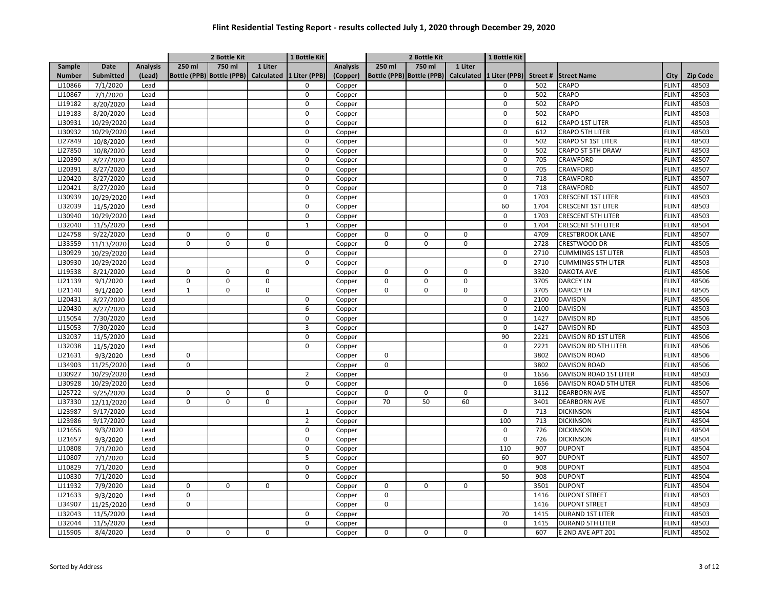|               |                  |                 |              | 2 Bottle Kit |             | 1 Bottle Kit                                       |                 |             | 2 Bottle Kit                         |         | 1 Bottle Kit  |         |                             |              |                 |
|---------------|------------------|-----------------|--------------|--------------|-------------|----------------------------------------------------|-----------------|-------------|--------------------------------------|---------|---------------|---------|-----------------------------|--------------|-----------------|
| Sample        | Date             | <b>Analysis</b> | 250 ml       | 750 ml       | 1 Liter     |                                                    | <b>Analysis</b> | 250 ml      | 750 ml                               | 1 Liter |               |         |                             |              |                 |
| <b>Number</b> | <b>Submitted</b> | (Lead)          |              |              |             | Bottle (PPB) Bottle (PPB) Calculated 1 Liter (PPB) | (Copper)        |             | Bottle (PPB) Bottle (PPB) Calculated |         | 1 Liter (PPB) | Street# | <b>Street Name</b>          | City         | <b>Zip Code</b> |
| LJ10866       | 7/1/2020         | Lead            |              |              |             | 0                                                  | Copper          |             |                                      |         | $\mathbf 0$   | 502     | CRAPO                       | <b>FLINT</b> | 48503           |
| LJ10867       | 7/1/2020         | Lead            |              |              |             | $\mathbf 0$                                        | Copper          |             |                                      |         | $\mathbf 0$   | 502     | CRAPO                       | <b>FLINT</b> | 48503           |
| LJ19182       | 8/20/2020        | Lead            |              |              |             | $\mathbf 0$                                        | Copper          |             |                                      |         | $\mathbf 0$   | 502     | CRAPO                       | <b>FLINT</b> | 48503           |
| LJ19183       | 8/20/2020        | Lead            |              |              |             | $\mathbf 0$                                        | Copper          |             |                                      |         | 0             | 502     | CRAPO                       | <b>FLINT</b> | 48503           |
| LJ30931       | 10/29/2020       | Lead            |              |              |             | $\Omega$                                           | Copper          |             |                                      |         | $\mathbf 0$   | 612     | <b>CRAPO 1ST LITER</b>      | <b>FLINT</b> | 48503           |
| LJ30932       | 10/29/2020       | Lead            |              |              |             | $\mathbf 0$                                        | Copper          |             |                                      |         | $\mathbf 0$   | 612     | <b>CRAPO 5TH LITER</b>      | <b>FLINT</b> | 48503           |
| LJ27849       | 10/8/2020        | Lead            |              |              |             | 0                                                  | Copper          |             |                                      |         | 0             | 502     | <b>CRAPO ST 1ST LITER</b>   | <b>FLINT</b> | 48503           |
| LJ27850       | 10/8/2020        | Lead            |              |              |             | $\mathbf 0$                                        | Copper          |             |                                      |         | $\mathbf 0$   | 502     | CRAPO ST 5TH DRAW           | <b>FLINT</b> | 48503           |
| LJ20390       | 8/27/2020        | Lead            |              |              |             | $\mathbf 0$                                        | Copper          |             |                                      |         | 0             | 705     | CRAWFORD                    | <b>FLINT</b> | 48507           |
| LJ20391       | 8/27/2020        | Lead            |              |              |             | 0                                                  | Copper          |             |                                      |         | $\Omega$      | 705     | CRAWFORD                    | <b>FLINT</b> | 48507           |
| LJ20420       | 8/27/2020        | Lead            |              |              |             | $\mathbf 0$                                        | Copper          |             |                                      |         | $\mathbf 0$   | 718     | CRAWFORD                    | <b>FLINT</b> | 48507           |
| LJ20421       | 8/27/2020        | Lead            |              |              |             | $\mathbf 0$                                        | Copper          |             |                                      |         | $\mathbf 0$   | 718     | CRAWFORD                    | <b>FLINT</b> | 48507           |
| LJ30939       | 10/29/2020       | Lead            |              |              |             | $\Omega$                                           | Copper          |             |                                      |         | $\mathbf 0$   | 1703    | <b>CRESCENT 1ST LITER</b>   | <b>FLINT</b> | 48503           |
| LJ32039       | 11/5/2020        | Lead            |              |              |             | $\mathbf 0$                                        | Copper          |             |                                      |         | 60            | 1704    | <b>CRESCENT 1ST LITER</b>   | <b>FLINT</b> | 48503           |
| LJ30940       | 10/29/2020       | Lead            |              |              |             | $\mathbf 0$                                        | Copper          |             |                                      |         | $\mathbf 0$   | 1703    | <b>CRESCENT 5TH LITER</b>   | <b>FLINT</b> | 48503           |
| LJ32040       | 11/5/2020        | Lead            |              |              |             | $\mathbf{1}$                                       | Copper          |             |                                      |         | $\mathbf 0$   | 1704    | <b>CRESCENT 5TH LITER</b>   | <b>FLINT</b> | 48504           |
| LJ24758       | 9/22/2020        | Lead            | $\mathbf 0$  | 0            | $\mathbf 0$ |                                                    | Copper          | $\mathbf 0$ | $\pmb{0}$                            | 0       |               | 4709    | <b>CRESTBROOK LANE</b>      | FLINT        | 48507           |
| LJ33559       | 11/13/2020       | Lead            | $\mathbf 0$  | $\Omega$     | 0           |                                                    | Copper          | $\mathbf 0$ | $\pmb{0}$                            | 0       |               | 2728    | CRESTWOOD DR                | <b>FLINT</b> | 48505           |
| LJ30929       | 10/29/2020       | Lead            |              |              |             | $\mathbf 0$                                        | Copper          |             |                                      |         | $\mathbf 0$   | 2710    | <b>CUMMINGS 1ST LITER</b>   | <b>FLINT</b> | 48503           |
| LJ30930       | 10/29/2020       | Lead            |              |              |             | $\mathbf 0$                                        | Copper          |             |                                      |         | $\mathbf 0$   | 2710    | <b>CUMMINGS 5TH LITER</b>   | <b>FLINT</b> | 48503           |
| LJ19538       | 8/21/2020        | Lead            | $\pmb{0}$    | 0            | $\mathbf 0$ |                                                    | Copper          | $\mathbf 0$ | $\pmb{0}$                            | 0       |               | 3320    | <b>DAKOTA AVE</b>           | <b>FLINT</b> | 48506           |
| LJ21139       | 9/1/2020         | Lead            | $\mathbf 0$  | $\mathbf 0$  | $\mathbf 0$ |                                                    | Copper          | $\mathbf 0$ | $\pmb{0}$                            | 0       |               | 3705    | <b>DARCEY LN</b>            | <b>FLINT</b> | 48506           |
| LJ21140       | 9/1/2020         | Lead            | $\mathbf{1}$ | 0            | $\mathbf 0$ |                                                    | Copper          | $\mathbf 0$ | $\pmb{0}$                            | 0       |               | 3705    | <b>DARCEY LN</b>            | <b>FLINT</b> | 48505           |
| LJ20431       | 8/27/2020        | Lead            |              |              |             | $\mathbf 0$                                        | Copper          |             |                                      |         | 0             | 2100    | <b>DAVISON</b>              | <b>FLINT</b> | 48506           |
| LJ20430       | 8/27/2020        | Lead            |              |              |             | 6                                                  | Copper          |             |                                      |         | 0             | 2100    | <b>DAVISON</b>              | FLINT        | 48503           |
| LJ15054       | 7/30/2020        | Lead            |              |              |             | $\mathbf 0$                                        | Copper          |             |                                      |         | 0             | 1427    | <b>DAVISON RD</b>           | <b>FLINT</b> | 48506           |
| LJ15053       | 7/30/2020        | Lead            |              |              |             | 3                                                  | Copper          |             |                                      |         | 0             | 1427    | <b>DAVISON RD</b>           | <b>FLINT</b> | 48503           |
| LJ32037       | 11/5/2020        | Lead            |              |              |             | $\mathbf 0$                                        | Copper          |             |                                      |         | 90            | 2221    | <b>DAVISON RD 1ST LITER</b> | <b>FLINT</b> | 48506           |
| LJ32038       | 11/5/2020        | Lead            |              |              |             | $\mathbf 0$                                        | Copper          |             |                                      |         | 0             | 2221    | DAVISON RD 5TH LITER        | <b>FLINT</b> | 48506           |
| LJ21631       | 9/3/2020         | Lead            | $\pmb{0}$    |              |             |                                                    | Copper          | $\mathbf 0$ |                                      |         |               | 3802    | <b>DAVISON ROAD</b>         | <b>FLINT</b> | 48506           |
| LJ34903       | 11/25/2020       | Lead            | $\pmb{0}$    |              |             |                                                    | Copper          | $\mathbf 0$ |                                      |         |               | 3802    | <b>DAVISON ROAD</b>         | <b>FLINT</b> | 48506           |
| LJ30927       | 10/29/2020       | Lead            |              |              |             | $\overline{2}$                                     | Copper          |             |                                      |         | $\mathbf 0$   | 1656    | DAVISON ROAD 1ST LITER      | <b>FLINT</b> | 48503           |
| LJ30928       | 10/29/2020       | Lead            |              |              |             | $\mathbf 0$                                        | Copper          |             |                                      |         | $\mathbf 0$   | 1656    | DAVISON ROAD 5TH LITER      | <b>FLINT</b> | 48506           |
| LJ25722       | 9/25/2020        | Lead            | $\mathbf 0$  | 0            | 0           |                                                    | Copper          | $\mathbf 0$ | $\pmb{0}$                            | 0       |               | 3112    | <b>DEARBORN AVE</b>         | <b>FLINT</b> | 48507           |
| LJ37330       | 12/11/2020       | Lead            | $\Omega$     | $\pmb{0}$    | $\mathsf 0$ |                                                    | Copper          | 70          | 50                                   | 60      |               | 3401    | <b>DEARBORN AVE</b>         | <b>FLINT</b> | 48507           |
| LJ23987       | 9/17/2020        | Lead            |              |              |             | $\mathbf{1}$                                       | Copper          |             |                                      |         | $\mathbf 0$   | 713     | <b>DICKINSON</b>            | <b>FLINT</b> | 48504           |
| LJ23986       | 9/17/2020        | Lead            |              |              |             | $\overline{2}$                                     | Copper          |             |                                      |         | 100           | 713     | <b>DICKINSON</b>            | <b>FLINT</b> | 48504           |
| LJ21656       | 9/3/2020         | Lead            |              |              |             | 0                                                  | Copper          |             |                                      |         | 0             | 726     | <b>DICKINSON</b>            | <b>FLINT</b> | 48504           |
| LJ21657       | 9/3/2020         | Lead            |              |              |             | 0                                                  | Copper          |             |                                      |         | 0             | 726     | <b>DICKINSON</b>            | FLINT        | 48504           |
| LJ10808       | 7/1/2020         | Lead            |              |              |             | 0                                                  | Copper          |             |                                      |         | 110           | 907     | <b>DUPONT</b>               | <b>FLINT</b> | 48504           |
| LJ10807       | 7/1/2020         | Lead            |              |              |             | 5                                                  | Copper          |             |                                      |         | 60            | 907     | <b>DUPONT</b>               | <b>FLINT</b> | 48507           |
| LJ10829       | 7/1/2020         | Lead            |              |              |             | $\mathbf 0$                                        | Copper          |             |                                      |         | $\mathbf 0$   | 908     | <b>DUPONT</b>               | <b>FLINT</b> | 48504           |
| LJ10830       | 7/1/2020         | Lead            |              |              |             | $\mathbf 0$                                        | Copper          |             |                                      |         | 50            | 908     | <b>DUPONT</b>               | FLINT        | 48504           |
| LJ11932       | 7/9/2020         | Lead            | $\mathbf 0$  | 0            | $\mathbf 0$ |                                                    | Copper          | $\mathbf 0$ | $\mathbf 0$                          | 0       |               | 3501    | <b>DUPONT</b>               | <b>FLINT</b> | 48504           |
| LJ21633       | 9/3/2020         | Lead            | $\mathbf 0$  |              |             |                                                    | Copper          | $\mathbf 0$ |                                      |         |               | 1416    | <b>DUPONT STREET</b>        | FLINT        | 48503           |
| LJ34907       | 11/25/2020       | Lead            | $\pmb{0}$    |              |             |                                                    | Copper          | $\mathsf 0$ |                                      |         |               | 1416    | <b>DUPONT STREET</b>        | <b>FLINT</b> | 48503           |
| LJ32043       | 11/5/2020        | Lead            |              |              |             | 0                                                  | Copper          |             |                                      |         | 70            | 1415    | <b>DURAND 1ST LITER</b>     | <b>FLINT</b> | 48503           |
| LJ32044       | 11/5/2020        | Lead            |              |              |             | $\mathbf 0$                                        | Copper          |             |                                      |         | 0             | 1415    | <b>DURAND 5TH LITER</b>     | FLINT        | 48503           |
| LJ15905       | 8/4/2020         | Lead            | 0            | 0            | 0           |                                                    | Copper          | 0           | 0                                    | 0       |               | 607     | E 2ND AVE APT 201           | <b>FLINT</b> | 48502           |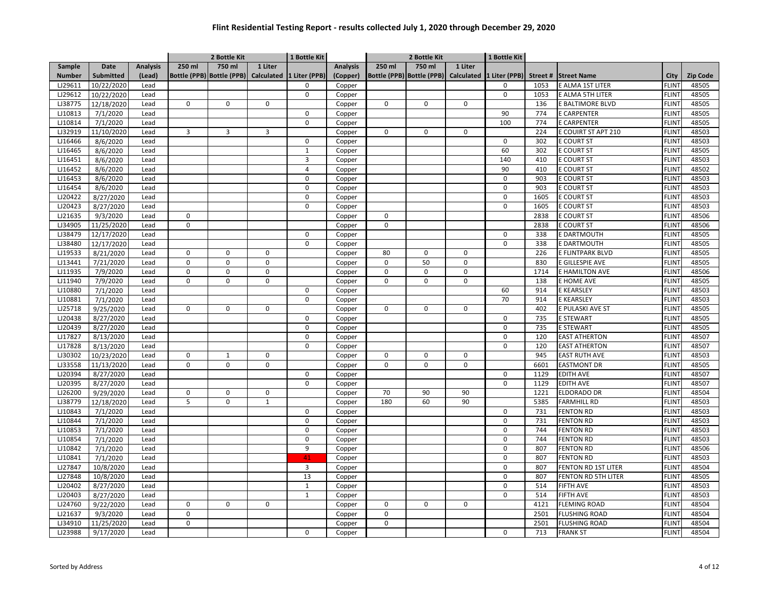|               |             |                 |                | 2 Bottle Kit |              | 1 Bottle Kit                                       |                 |              | 2 Bottle Kit              |                   | 1 Bottle Kit  |         |                            |              |                 |
|---------------|-------------|-----------------|----------------|--------------|--------------|----------------------------------------------------|-----------------|--------------|---------------------------|-------------------|---------------|---------|----------------------------|--------------|-----------------|
| Sample        | <b>Date</b> | <b>Analysis</b> | 250 ml         | 750 ml       | 1 Liter      |                                                    | <b>Analysis</b> | 250 ml       | 750 ml                    | 1 Liter           |               |         |                            |              |                 |
| <b>Number</b> | Submitted   | (Lead)          |                |              |              | Bottle (PPB) Bottle (PPB) Calculated 1 Liter (PPB) | (Copper)        |              | Bottle (PPB) Bottle (PPB) | <b>Calculated</b> | 1 Liter (PPB) | Street# | <b>Street Name</b>         | City         | <b>Zip Code</b> |
| LJ29611       | 10/22/2020  | Lead            |                |              |              | 0                                                  | Copper          |              |                           |                   | $\mathbf 0$   | 1053    | E ALMA 1ST LITER           | <b>FLINT</b> | 48505           |
| LJ29612       | 10/22/2020  | Lead            |                |              |              | $\mathbf 0$                                        | Copper          |              |                           |                   | $\mathbf 0$   | 1053    | E ALMA 5TH LITER           | <b>FLINT</b> | 48505           |
| LJ38775       | 12/18/2020  | Lead            | 0              | 0            | $\mathbf 0$  |                                                    | Copper          | $\mathbf 0$  | $\mathbf 0$               | 0                 |               | 136     | E BALTIMORE BLVD           | <b>FLINT</b> | 48505           |
| LJ10813       | 7/1/2020    | Lead            |                |              |              | $\mathbf 0$                                        | Copper          |              |                           |                   | 90            | 774     | <b>E CARPENTER</b>         | <b>FLINT</b> | 48505           |
| LJ10814       | 7/1/2020    | Lead            |                |              |              | $\Omega$                                           | Copper          |              |                           |                   | 100           | 774     | <b>E CARPENTER</b>         | <b>FLINT</b> | 48505           |
| LJ32919       | 11/10/2020  | Lead            | $\overline{3}$ | 3            | 3            |                                                    | Copper          | $\mathbf 0$  | $\mathbf 0$               | 0                 |               | 224     | E COUIRT ST APT 210        | FLINT        | 48503           |
| LJ16466       | 8/6/2020    | Lead            |                |              |              | 0                                                  | Copper          |              |                           |                   | $\mathbf 0$   | 302     | E COURT ST                 | <b>FLINT</b> | 48503           |
| LJ16465       | 8/6/2020    | Lead            |                |              |              | $\mathbf{1}$                                       | Copper          |              |                           |                   | 60            | 302     | <b>E COURT ST</b>          | <b>FLINT</b> | 48505           |
| LJ16451       | 8/6/2020    | Lead            |                |              |              | 3                                                  | Copper          |              |                           |                   | 140           | 410     | E COURT ST                 | <b>FLINT</b> | 48503           |
| LJ16452       | 8/6/2020    | Lead            |                |              |              | 4                                                  | Copper          |              |                           |                   | 90            | 410     | <b>E COURT ST</b>          | <b>FLINT</b> | 48502           |
| LJ16453       | 8/6/2020    | Lead            |                |              |              | $\Omega$                                           | Copper          |              |                           |                   | 0             | 903     | <b>E COURT ST</b>          | <b>FLINT</b> | 48503           |
| LJ16454       | 8/6/2020    | Lead            |                |              |              | $\mathbf 0$                                        | Copper          |              |                           |                   | $\mathbf 0$   | 903     | <b>E COURT ST</b>          | <b>FLINT</b> | 48503           |
| LJ20422       | 8/27/2020   | Lead            |                |              |              | $\Omega$                                           | Copper          |              |                           |                   | $\Omega$      | 1605    | <b>E COURT ST</b>          | FLINT        | 48503           |
| LJ20423       | 8/27/2020   | Lead            |                |              |              | 0                                                  | Copper          |              |                           |                   | $\mathbf 0$   | 1605    | <b>E COURT ST</b>          | FLINT        | 48503           |
| LJ21635       | 9/3/2020    | Lead            | $\Omega$       |              |              |                                                    | Copper          | $\mathbf 0$  |                           |                   |               | 2838    | E COURT ST                 | <b>FLINT</b> | 48506           |
| LJ34905       | 11/25/2020  | Lead            | $\pmb{0}$      |              |              |                                                    | Copper          | $\mathsf 0$  |                           |                   |               | 2838    | E COURT ST                 | <b>FLINT</b> | 48506           |
| LJ38479       | 12/17/2020  | Lead            |                |              |              | $\mathbf 0$                                        | Copper          |              |                           |                   | $\mathbf 0$   | 338     | E DARTMOUTH                | <b>FLINT</b> | 48505           |
| LJ38480       | 12/17/2020  | Lead            |                |              |              | $\mathbf 0$                                        | Copper          |              |                           |                   | 0             | 338     | E DARTMOUTH                | <b>FLINT</b> | 48505           |
| LJ19533       | 8/21/2020   | Lead            | $\mathbf 0$    | 0            | $\Omega$     |                                                    | Copper          | 80           | $\mathbf 0$               | 0                 |               | 226     | E FLINTPARK BLVD           | <b>FLINT</b> | 48505           |
| LJ13441       | 7/21/2020   | Lead            | $\Omega$       | $\Omega$     | $\mathbf 0$  |                                                    | Copper          | $\mathbf 0$  | 50                        | 0                 |               | 830     | E GILLESPIE AVE            | <b>FLINT</b> | 48505           |
| LJ11935       | 7/9/2020    | Lead            | $\Omega$       | $\mathbf 0$  | $\mathsf 0$  |                                                    | Copper          | $\mathbf 0$  | $\Omega$                  | 0                 |               | 1714    | E HAMILTON AVE             | FLINT        | 48506           |
| LJ11940       | 7/9/2020    | Lead            | $\Omega$       | $\mathbf 0$  | $\mathbf 0$  |                                                    | Copper          | $\mathbf 0$  | $\Omega$                  | 0                 |               | 138     | E HOME AVE                 | <b>FLINT</b> | 48505           |
| LJ10880       | 7/1/2020    | Lead            |                |              |              | 0                                                  | Copper          |              |                           |                   | 60            | 914     | E KEARSLEY                 | <b>FLINT</b> | 48503           |
| LJ10881       | 7/1/2020    | Lead            |                |              |              | $\Omega$                                           | Copper          |              |                           |                   | 70            | 914     | E KEARSLEY                 | <b>FLINT</b> | 48503           |
| LJ25718       | 9/25/2020   | Lead            | $\mathbf 0$    | 0            | $\mathbf 0$  |                                                    | Copper          | $\mathbf 0$  | $\mathbf 0$               | 0                 |               | 402     | E PULASKI AVE ST           | <b>FLINT</b> | 48505           |
| LJ20438       | 8/27/2020   | Lead            |                |              |              | 0                                                  | Copper          |              |                           |                   | $\mathbf 0$   | 735     | <b>E STEWART</b>           | <b>FLINT</b> | 48505           |
| LJ20439       | 8/27/2020   | Lead            |                |              |              | $\Omega$                                           | Copper          |              |                           |                   | $\Omega$      | 735     | <b>E STEWART</b>           | <b>FLINT</b> | 48505           |
| LJ17827       | 8/13/2020   | Lead            |                |              |              | $\mathbf 0$                                        | Copper          |              |                           |                   | 0             | 120     | <b>EAST ATHERTON</b>       | <b>FLINT</b> | 48507           |
| LJ17828       | 8/13/2020   | Lead            |                |              |              | $\mathbf 0$                                        | Copper          |              |                           |                   | 0             | 120     | <b>EAST ATHERTON</b>       | FLINT        | 48507           |
| LJ30302       | 10/23/2020  | Lead            | $\mathbf 0$    | $\mathbf{1}$ | $\mathbf 0$  |                                                    | Copper          | $\mathbf{0}$ | $\mathbf 0$               | $\mathbf 0$       |               | 945     | <b>EAST RUTH AVE</b>       | <b>FLINT</b> | 48503           |
| LJ33558       | 11/13/2020  | Lead            | $\mathbf 0$    | $\mathbf 0$  | $\mathbf 0$  |                                                    | Copper          | $\mathbf 0$  | $\mathbf 0$               | 0                 |               | 6601    | <b>EASTMONT DR</b>         | <b>FLINT</b> | 48505           |
| LJ20394       | 8/27/2020   | Lead            |                |              |              | $\mathbf 0$                                        | Copper          |              |                           |                   | $\mathbf 0$   | 1129    | <b>EDITH AVE</b>           | <b>FLINT</b> | 48507           |
| LJ20395       | 8/27/2020   | Lead            |                |              |              | $\Omega$                                           | Copper          |              |                           |                   | $\mathbf 0$   | 1129    | <b>EDITH AVE</b>           | <b>FLINT</b> | 48507           |
| LJ26200       | 9/29/2020   | Lead            | $\pmb{0}$      | 0            | 0            |                                                    | Copper          | 70           | 90                        | 90                |               | 1221    | ELDORADO DR                | <b>FLINT</b> | 48504           |
| LJ38779       | 12/18/2020  | Lead            | 5              | $\mathbf 0$  | $\mathbf{1}$ |                                                    | Copper          | 180          | 60                        | 90                |               | 5385    | <b>FARMHILL RD</b>         | <b>FLINT</b> | 48503           |
| LJ10843       | 7/1/2020    | Lead            |                |              |              | 0                                                  | Copper          |              |                           |                   | 0             | 731     | <b>FENTON RD</b>           | FLINT        | 48503           |
| LJ10844       | 7/1/2020    | Lead            |                |              |              | $\mathbf 0$                                        | Copper          |              |                           |                   | $\mathbf 0$   | 731     | <b>FENTON RD</b>           | <b>FLINT</b> | 48503           |
| LJ10853       | 7/1/2020    | Lead            |                |              |              | $\Omega$                                           | Copper          |              |                           |                   | 0             | 744     | <b>FENTON RD</b>           | <b>FLINT</b> | 48503           |
| LJ10854       | 7/1/2020    | Lead            |                |              |              | $\mathbf 0$                                        | Copper          |              |                           |                   | 0             | 744     | <b>FENTON RD</b>           | <b>FLINT</b> | 48503           |
| LJ10842       | 7/1/2020    | Lead            |                |              |              | 9                                                  | Copper          |              |                           |                   | 0             | 807     | <b>FENTON RD</b>           | <b>FLINT</b> | 48506           |
| LJ10841       | 7/1/2020    | Lead            |                |              |              | 41                                                 | Copper          |              |                           |                   | 0             | 807     | <b>FENTON RD</b>           | <b>FLINT</b> | 48503           |
| LJ27847       | 10/8/2020   | Lead            |                |              |              | 3                                                  | Copper          |              |                           |                   | 0             | 807     | <b>FENTON RD 1ST LITER</b> | <b>FLINT</b> | 48504           |
| LJ27848       | 10/8/2020   | Lead            |                |              |              | 13                                                 | Copper          |              |                           |                   | $\mathbf 0$   | 807     | <b>FENTON RD 5TH LITER</b> | <b>FLINT</b> | 48505           |
| LJ20402       | 8/27/2020   | Lead            |                |              |              | $\mathbf{1}$                                       | Copper          |              |                           |                   | $\mathbf 0$   | 514     | <b>FIFTH AVE</b>           | <b>FLINT</b> | 48503           |
| LJ20403       | 8/27/2020   | Lead            |                |              |              | $\mathbf{1}$                                       | Copper          |              |                           |                   | $\mathbf 0$   | 514     | <b>FIFTH AVE</b>           | <b>FLINT</b> | 48503           |
| LJ24760       | 9/22/2020   | Lead            | $\pmb{0}$      | 0            | 0            |                                                    | Copper          | $\mathbf 0$  | $\pmb{0}$                 | 0                 |               | 4121    | <b>FLEMING ROAD</b>        | <b>FLINT</b> | 48504           |
| LJ21637       | 9/3/2020    | Lead            | $\pmb{0}$      |              |              |                                                    | Copper          | $\mathsf 0$  |                           |                   |               | 2501    | <b>FLUSHING ROAD</b>       | <b>FLINT</b> | 48504           |
| LJ34910       | 11/25/2020  | Lead            | $\mathbf 0$    |              |              |                                                    | Copper          | $\mathsf 0$  |                           |                   |               | 2501    | <b>FLUSHING ROAD</b>       | <b>FLINT</b> | 48504           |
| LJ23988       | 9/17/2020   | Lead            |                |              |              | 0                                                  | Copper          |              |                           |                   | $\mathbf 0$   | 713     | <b>FRANK ST</b>            | <b>FLINT</b> | 48504           |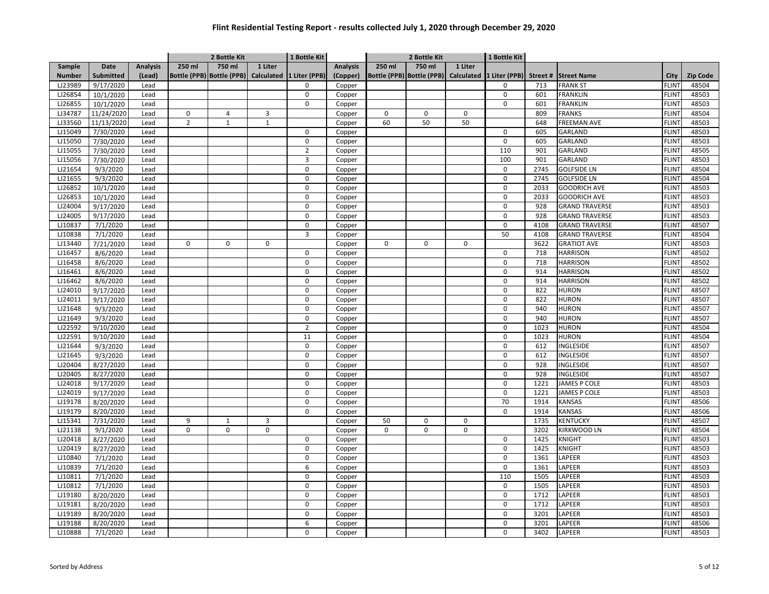|               |                      |                 |                | 2 Bottle Kit |                | 1 Bottle Kit                                       |                 |             | 2 Bottle Kit                         |         | 1 Bottle Kit   |         |                       |              |                 |
|---------------|----------------------|-----------------|----------------|--------------|----------------|----------------------------------------------------|-----------------|-------------|--------------------------------------|---------|----------------|---------|-----------------------|--------------|-----------------|
| Sample        | Date                 | <b>Analysis</b> | 250 ml         | 750 ml       | 1 Liter        |                                                    | <b>Analysis</b> | 250 ml      | 750 ml                               | 1 Liter |                |         |                       |              |                 |
| <b>Number</b> | Submitted            | (Lead)          |                |              |                | Bottle (PPB) Bottle (PPB) Calculated 1 Liter (PPB) | (Copper)        |             | Bottle (PPB) Bottle (PPB) Calculated |         | 1 Liter (PPB)  | Street# | <b>Street Name</b>    | City         | <b>Zip Code</b> |
| LJ23989       | 9/17/2020            | Lead            |                |              |                | 0                                                  | Copper          |             |                                      |         | $\mathbf 0$    | 713     | <b>FRANK ST</b>       | FLINT        | 48504           |
| LJ26854       | 10/1/2020            | Lead            |                |              |                | $\mathbf 0$                                        | Copper          |             |                                      |         | $\mathbf 0$    | 601     | <b>FRANKLIN</b>       | FLINT        | 48503           |
| LJ26855       | 10/1/2020            | Lead            |                |              |                | $\mathbf 0$                                        | Copper          |             |                                      |         | $\mathbf 0$    | 601     | <b>FRANKLIN</b>       | <b>FLINT</b> | 48503           |
| LJ34787       | 11/24/2020           | Lead            | $\pmb{0}$      | 4            | 3              |                                                    | Copper          | $\mathbf 0$ | $\pmb{0}$                            | 0       |                | 809     | <b>FRANKS</b>         | <b>FLINT</b> | 48504           |
| LJ33560       | 11/13/2020           | Lead            | $\overline{2}$ | $\mathbf{1}$ | $\mathbf 1$    |                                                    | Copper          | 60          | 50                                   | 50      |                | 648     | <b>FREEMAN AVE</b>    | <b>FLINT</b> | 48503           |
| LJ15049       | 7/30/2020            | Lead            |                |              |                | $\mathbf 0$                                        | Copper          |             |                                      |         | $\mathbf 0$    | 605     | GARLAND               | <b>FLINT</b> | 48503           |
| LJ15050       | 7/30/2020            | Lead            |                |              |                | 0                                                  | Copper          |             |                                      |         | 0              | 605     | GARLAND               | <b>FLINT</b> | 48503           |
| LJ15055       | 7/30/2020            | Lead            |                |              |                | $\overline{2}$                                     | Copper          |             |                                      |         | 110            | 901     | GARLAND               | FLINT        | 48505           |
| LJ15056       | 7/30/2020            | Lead            |                |              |                | 3                                                  | Copper          |             |                                      |         | 100            | 901     | GARLAND               | <b>FLINT</b> | 48503           |
| LJ21654       | 9/3/2020             | Lead            |                |              |                | 0                                                  | Copper          |             |                                      |         | 0              | 2745    | <b>GOLFSIDE LN</b>    | <b>FLINT</b> | 48504           |
| LJ21655       | 9/3/2020             | Lead            |                |              |                | $\mathbf 0$                                        | Copper          |             |                                      |         | $\mathbf 0$    | 2745    | <b>GOLFSIDE LN</b>    | <b>FLINT</b> | 48504           |
| LJ26852       | 10/1/2020            | Lead            |                |              |                | $\mathbf 0$                                        | Copper          |             |                                      |         | 0              | 2033    | <b>GOODRICH AVE</b>   | <b>FLINT</b> | 48503           |
| LJ26853       | 10/1/2020            | Lead            |                |              |                | $\Omega$                                           | Copper          |             |                                      |         | $\mathbf 0$    | 2033    | <b>GOODRICH AVE</b>   | <b>FLINT</b> | 48503           |
| LJ24004       | 9/17/2020            | Lead            |                |              |                | $\mathbf 0$                                        | Copper          |             |                                      |         | $\mathbf 0$    | 928     | <b>GRAND TRAVERSE</b> | <b>FLINT</b> | 48503           |
| LJ24005       | 9/17/2020            | Lead            |                |              |                | $\mathbf 0$                                        | Copper          |             |                                      |         | 0              | 928     | <b>GRAND TRAVERSE</b> | FLINT        | 48503           |
| LJ10837       | 7/1/2020             | Lead            |                |              |                | $\mathbf 0$                                        | Copper          |             |                                      |         | 0              | 4108    | <b>GRAND TRAVERSE</b> | <b>FLINT</b> | 48507           |
| LJ10838       | 7/1/2020             | Lead            |                |              |                | 3                                                  | Copper          |             |                                      |         | 50             | 4108    | <b>GRAND TRAVERSE</b> | FLINT        | 48504           |
| LJ13440       | 7/21/2020            | Lead            | $\mathbf 0$    | 0            | 0              |                                                    | Copper          | $\mathbf 0$ | $\pmb{0}$                            | 0       |                | 3622    | <b>GRATIOT AVE</b>    | FLINT        | 48503           |
| LJ16457       | 8/6/2020             | Lead            |                |              |                | $\mathbf 0$                                        | Copper          |             |                                      |         | $\mathbf 0$    | 718     | <b>HARRISON</b>       | <b>FLINT</b> | 48502           |
| LJ16458       | 8/6/2020             | Lead            |                |              |                | $\mathbf 0$                                        | Copper          |             |                                      |         | $\mathbf 0$    | 718     | <b>HARRISON</b>       | <b>FLINT</b> | 48502           |
| LJ16461       | 8/6/2020             | Lead            |                |              |                | $\mathbf 0$                                        | Copper          |             |                                      |         | $\mathbf 0$    | 914     | <b>HARRISON</b>       | <b>FLINT</b> | 48502           |
| LJ16462       | 8/6/2020             | Lead            |                |              |                | $\mathbf 0$                                        | Copper          |             |                                      |         | $\mathbf 0$    | 914     | <b>HARRISON</b>       | <b>FLINT</b> | 48502           |
| LJ24010       | 9/17/2020            | Lead            |                |              |                | $\mathbf 0$                                        | Copper          |             |                                      |         | 0              | 822     | <b>HURON</b>          | <b>FLINT</b> | 48507           |
| LJ24011       | 9/17/2020            | Lead            |                |              |                | $\mathbf 0$                                        | Copper          |             |                                      |         | $\mathbf 0$    | 822     | <b>HURON</b>          | <b>FLINT</b> | 48507           |
| LJ21648       | 9/3/2020             | Lead            |                |              |                | $\mathbf 0$                                        | Copper          |             |                                      |         | 0              | 940     | <b>HURON</b>          | FLINT        | 48507           |
| LJ21649       | 9/3/2020             | Lead            |                |              |                | $\mathbf 0$                                        | Copper          |             |                                      |         | 0              | 940     | <b>HURON</b>          | <b>FLINT</b> | 48507           |
| LJ22592       | 9/10/2020            | Lead            |                |              |                | $\overline{2}$                                     | Copper          |             |                                      |         | $\mathbf 0$    | 1023    | <b>HURON</b>          | <b>FLINT</b> | 48504           |
| LJ22591       | 9/10/2020            | Lead            |                |              |                | 11                                                 | Copper          |             |                                      |         | $\mathbf 0$    | 1023    | <b>HURON</b>          | <b>FLINT</b> | 48504           |
| LJ21644       | 9/3/2020             | Lead            |                |              |                | 0                                                  | Copper          |             |                                      |         | 0              | 612     | INGLESIDE             | <b>FLINT</b> | 48507           |
| LJ21645       | 9/3/2020             | Lead            |                |              |                | $\mathbf 0$                                        | Copper          |             |                                      |         | $\overline{0}$ | 612     | INGLESIDE             | <b>FLINT</b> | 48507           |
| LJ20404       | 8/27/2020            | Lead            |                |              |                | $\mathbf 0$                                        | Copper          |             |                                      |         | 0              | 928     | INGLESIDE             | FLINT        | 48507           |
| LJ20405       | 8/27/2020            | Lead            |                |              |                | 0                                                  | Copper          |             |                                      |         | 0              | 928     | INGLESIDE             | <b>FLINT</b> | 48507           |
| LJ24018       | 9/17/2020            | Lead            |                |              |                | $\mathbf 0$                                        | Copper          |             |                                      |         | $\mathbf 0$    | 1221    | <b>JAMES P COLE</b>   | <b>FLINT</b> | 48503           |
| LJ24019       | 9/17/2020            | Lead            |                |              |                | $\mathbf 0$                                        | Copper          |             |                                      |         | $\mathbf 0$    | 1221    | <b>JAMES P COLE</b>   | <b>FLINT</b> | 48503           |
| LJ19178       | 8/20/2020            | Lead            |                |              |                | $\Omega$                                           | Copper          |             |                                      |         | 70             | 1914    | <b>KANSAS</b>         | <b>FLINT</b> | 48506           |
| LJ19179       | 8/20/2020            | Lead            |                |              |                | $\mathbf 0$                                        | Copper          |             |                                      |         | $\mathbf 0$    | 1914    | <b>KANSAS</b>         | <b>FLINT</b> | 48506           |
| LJ15341       | 7/31/2020            | Lead            | 9              | $\mathbf 1$  | $\overline{3}$ |                                                    | Copper          | 50          | $\pmb{0}$                            | 0       |                | 1735    | <b>KENTUCKY</b>       | <b>FLINT</b> | 48507           |
| LJ21138       | 9/1/2020             | Lead            | $\mathbf 0$    | $\mathbf 0$  | $\mathbf 0$    |                                                    | Copper          | $\Omega$    | $\mathbf 0$                          | 0       |                | 3202    | <b>KIRKWOOD LN</b>    | <b>FLINT</b> | 48504           |
| LJ20418       | 8/27/2020            | Lead            |                |              |                | 0                                                  | Copper          |             |                                      |         | $\mathbf 0$    | 1425    | KNIGHT                | FLINT        | 48503           |
| LJ20419       | 8/27/2020            | Lead            |                |              |                | 0                                                  | Copper          |             |                                      |         | 0              | 1425    | <b>KNIGHT</b>         | <b>FLINT</b> | 48503           |
| LJ10840       | 7/1/2020             | Lead            |                |              |                | $\mathbf 0$                                        | Copper          |             |                                      |         | 0              | 1361    | LAPEER                | <b>FLINT</b> | 48503           |
| LJ10839       | $\frac{1}{7}$ 1/2020 | Lead            |                |              |                | 6                                                  | Copper          |             |                                      |         | $\mathbf 0$    | 1361    | LAPEER                | <b>FLINT</b> | 48503           |
| LJ10811       | 7/1/2020             | Lead            |                |              |                | $\mathbf 0$                                        | Copper          |             |                                      |         | 110            | 1505    | LAPEER                | FLINT        | 48503           |
| LJ10812       | 7/1/2020             | Lead            |                |              |                | $\mathbf 0$                                        | Copper          |             |                                      |         | $\mathbf 0$    | 1505    | LAPEER                | <b>FLINT</b> | 48503           |
| LJ19180       | 8/20/2020            | Lead            |                |              |                | $\mathbf 0$                                        | Copper          |             |                                      |         | 0              | 1712    | LAPEER                | <b>FLINT</b> | 48503           |
| LJ19181       | 8/20/2020            | Lead            |                |              |                | 0                                                  | Copper          |             |                                      |         | 0              | 1712    | LAPEER                | FLINT        | 48503           |
| LJ19189       | 8/20/2020            | Lead            |                |              |                | $\mathbf 0$                                        | Copper          |             |                                      |         | 0              | 3201    | LAPEER                | <b>FLINT</b> | 48503           |
| LJ19188       | 8/20/2020            | Lead            |                |              |                | 6                                                  | Copper          |             |                                      |         | 0              | 3201    | LAPEER                | FLINT        | 48506           |
| LJ10888       | 7/1/2020             | Lead            |                |              |                | 0                                                  | Copper          |             |                                      |         | 0              | 3402    | LAPEER                | <b>FLINT</b> | 48503           |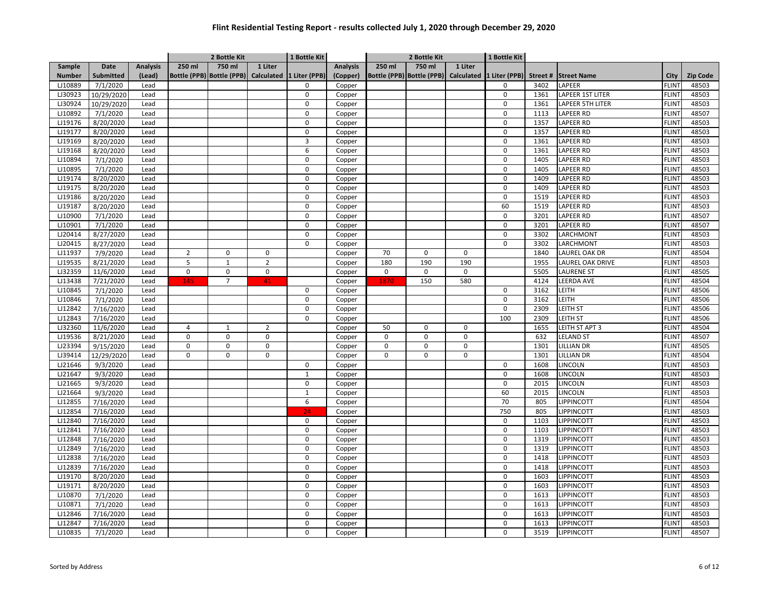|               |                  |                 |                | 2 Bottle Kit                         |                | 1 Bottle Kit  |                 |             | 2 Bottle Kit                         |             | 1 Bottle Kit  |         |                         |              |                 |
|---------------|------------------|-----------------|----------------|--------------------------------------|----------------|---------------|-----------------|-------------|--------------------------------------|-------------|---------------|---------|-------------------------|--------------|-----------------|
| Sample        | Date             | <b>Analysis</b> | 250 ml         | 750 ml                               | 1 Liter        |               | <b>Analysis</b> | 250 ml      | 750 ml                               | 1 Liter     |               |         |                         |              |                 |
| <b>Number</b> | <b>Submitted</b> | (Lead)          |                | Bottle (PPB) Bottle (PPB) Calculated |                | 1 Liter (PPB) | (Copper)        |             | Bottle (PPB) Bottle (PPB) Calculated |             | 1 Liter (PPB) | Street# | <b>Street Name</b>      | City         | <b>Zip Code</b> |
| LJ10889       | 7/1/2020         | Lead            |                |                                      |                | 0             | Copper          |             |                                      |             | 0             | 3402    | LAPEER                  | <b>FLINT</b> | 48503           |
| LJ30923       | 10/29/2020       | Lead            |                |                                      |                | $\mathbf 0$   | Copper          |             |                                      |             | $\mathbf 0$   | 1361    | LAPEER 1ST LITER        | <b>FLINT</b> | 48503           |
| LJ30924       | 10/29/2020       | Lead            |                |                                      |                | $\mathbf 0$   | Copper          |             |                                      |             | $\mathbf 0$   | 1361    | <b>LAPEER 5TH LITER</b> | <b>FLINT</b> | 48503           |
| LJ10892       | 7/1/2020         | Lead            |                |                                      |                | $\Omega$      | Copper          |             |                                      |             | 0             | 1113    | <b>LAPEER RD</b>        | <b>FLINT</b> | 48507           |
| LJ19176       | 8/20/2020        | Lead            |                |                                      |                | $\Omega$      | Copper          |             |                                      |             | $\mathbf 0$   | 1357    | <b>LAPEER RD</b>        | <b>FLINT</b> | 48503           |
| LJ19177       | 8/20/2020        | Lead            |                |                                      |                | $\mathbf 0$   | Copper          |             |                                      |             | $\mathbf 0$   | 1357    | <b>LAPEER RD</b>        | <b>FLINT</b> | 48503           |
| LJ19169       | 8/20/2020        | Lead            |                |                                      |                | 3             | Copper          |             |                                      |             | 0             | 1361    | <b>LAPEER RD</b>        | <b>FLINT</b> | 48503           |
| LJ19168       | 8/20/2020        | Lead            |                |                                      |                | 6             | Copper          |             |                                      |             | $\mathbf 0$   | 1361    | <b>LAPEER RD</b>        | <b>FLINT</b> | 48503           |
| LJ10894       | 7/1/2020         | Lead            |                |                                      |                | $\mathbf 0$   | Copper          |             |                                      |             | $\mathsf 0$   | 1405    | <b>LAPEER RD</b>        | <b>FLINT</b> | 48503           |
| LJ10895       | 7/1/2020         | Lead            |                |                                      |                | $\Omega$      | Copper          |             |                                      |             | $\Omega$      | 1405    | <b>LAPEER RD</b>        | <b>FLINT</b> | 48503           |
| LJ19174       | 8/20/2020        | Lead            |                |                                      |                | $\Omega$      | Copper          |             |                                      |             | $\mathbf 0$   | 1409    | <b>LAPEER RD</b>        | <b>FLINT</b> | 48503           |
| LJ19175       | 8/20/2020        | Lead            |                |                                      |                | $\mathbf 0$   | Copper          |             |                                      |             | $\mathsf 0$   | 1409    | <b>LAPEER RD</b>        | <b>FLINT</b> | 48503           |
| LJ19186       | 8/20/2020        | Lead            |                |                                      |                | $\Omega$      | Copper          |             |                                      |             | $\mathbf 0$   | 1519    | <b>LAPEER RD</b>        | <b>FLINT</b> | 48503           |
| LJ19187       | 8/20/2020        | Lead            |                |                                      |                | $\mathbf 0$   | Copper          |             |                                      |             | 60            | 1519    | <b>LAPEER RD</b>        | <b>FLINT</b> | 48503           |
| LJ10900       | 7/1/2020         | Lead            |                |                                      |                | $\mathbf 0$   | Copper          |             |                                      |             | $\mathbf 0$   | 3201    | <b>LAPEER RD</b>        | <b>FLINT</b> | 48507           |
| LJ10901       | 7/1/2020         | Lead            |                |                                      |                | $\mathbf 0$   | Copper          |             |                                      |             | $\mathbf 0$   | 3201    | <b>LAPEER RD</b>        | <b>FLINT</b> | 48507           |
| LJ20414       | 8/27/2020        | Lead            |                |                                      |                | $\mathbf 0$   | Copper          |             |                                      |             | $\mathbf 0$   | 3302    | LARCHMONT               | <b>FLINT</b> | 48503           |
| LJ20415       | 8/27/2020        | Lead            |                |                                      |                | 0             | Copper          |             |                                      |             | 0             | 3302    | LARCHMONT               | <b>FLINT</b> | 48503           |
| LJ11937       | 7/9/2020         | Lead            | $\overline{2}$ | $\mathbf 0$                          | $\mathbf 0$    |               | Copper          | 70          | $\Omega$                             | $\mathbf 0$ |               | 1840    | LAUREL OAK DR           | <b>FLINT</b> | 48504           |
| LJ19535       | 8/21/2020        | Lead            | 5              | $\mathbf 1$                          | $\overline{2}$ |               | Copper          | 180         | 190                                  | 190         |               | 1955    | LAUREL OAK DRIVE        | <b>FLINT</b> | 48503           |
| LJ32359       | 11/6/2020        | Lead            | $\mathbf 0$    | $\pmb{0}$                            | $\mathbf 0$    |               | Copper          | $\mathsf 0$ | 0                                    | $\mathsf 0$ |               | 5505    | <b>LAURENE ST</b>       | <b>FLINT</b> | 48505           |
| LJ13438       | 7/21/2020        | Lead            | 145            | $\overline{7}$                       | 41             |               | Copper          | 1870        | 150                                  | 580         |               | 4124    | <b>LEERDA AVE</b>       | <b>FLINT</b> | 48504           |
| LJ10845       | 7/1/2020         | Lead            |                |                                      |                | 0             | Copper          |             |                                      |             | $\mathbf 0$   | 3162    | LEITH                   | <b>FLINT</b> | 48506           |
| LJ10846       | 7/1/2020         | Lead            |                |                                      |                | 0             | Copper          |             |                                      |             | 0             | 3162    | LEITH                   | <b>FLINT</b> | 48506           |
| LJ12842       | 7/16/2020        | Lead            |                |                                      |                | 0             | Copper          |             |                                      |             | $\mathbf 0$   | 2309    | LEITH ST                | <b>FLINT</b> | 48506           |
| LJ12843       | 7/16/2020        | Lead            |                |                                      |                | 0             | Copper          |             |                                      |             | 100           | 2309    | <b>LEITH ST</b>         | <b>FLINT</b> | 48506           |
| LJ32360       | 11/6/2020        | Lead            | $\overline{4}$ | $\mathbf{1}$                         | $\overline{2}$ |               | Copper          | 50          | $\Omega$                             | 0           |               | 1655    | LEITH ST APT 3          | <b>FLINT</b> | 48504           |
| LJ19536       | 8/21/2020        | Lead            | $\mathbf 0$    | $\mathbf 0$                          | $\mathbf 0$    |               | Copper          | $\mathbf 0$ | $\Omega$                             | 0           |               | 632     | <b>LELAND ST</b>        | <b>FLINT</b> | 48507           |
| LJ23394       | 9/15/2020        | Lead            | $\mathbf 0$    | $\pmb{0}$                            | $\mathbf 0$    |               | Copper          | $\mathbf 0$ | $\mathbf 0$                          | 0           |               | 1301    | <b>LILLIAN DR</b>       | <b>FLINT</b> | 48505           |
| LJ39414       | 12/29/2020       | Lead            | $\mathbf 0$    | $\Omega$                             | 0              |               | Copper          | $\mathbf 0$ | 0                                    | 0           |               | 1301    | <b>LILLIAN DR</b>       | <b>FLINT</b> | 48504           |
| LJ21646       | 9/3/2020         | Lead            |                |                                      |                | $\mathbf 0$   | Copper          |             |                                      |             | $\mathbf 0$   | 1608    | LINCOLN                 | <b>FLINT</b> | 48503           |
| LJ21647       | 9/3/2020         | Lead            |                |                                      |                | $\mathbf 1$   | Copper          |             |                                      |             | $\mathbf 0$   | 1608    | <b>LINCOLN</b>          | <b>FLINT</b> | 48503           |
| LJ21665       | 9/3/2020         | Lead            |                |                                      |                | $\mathbf 0$   | Copper          |             |                                      |             | 0             | 2015    | <b>LINCOLN</b>          | <b>FLINT</b> | 48503           |
| LJ21664       | 9/3/2020         | Lead            |                |                                      |                | $\mathbf 1$   | Copper          |             |                                      |             | 60            | 2015    | LINCOLN                 | <b>FLINT</b> | 48503           |
| LJ12855       | 7/16/2020        | Lead            |                |                                      |                | 6             | Copper          |             |                                      |             | 70            | 805     | LIPPINCOTT              | <b>FLINT</b> | 48504           |
| LJ12854       | 7/16/2020        | Lead            |                |                                      |                | 24            | Copper          |             |                                      |             | 750           | 805     | <b>LIPPINCOTT</b>       | <b>FLINT</b> | 48503           |
| LJ12840       | 7/16/2020        | Lead            |                |                                      |                | 0             | Copper          |             |                                      |             | 0             | 1103    | LIPPINCOTT              | <b>FLINT</b> | 48503           |
| LJ12841       | 7/16/2020        | Lead            |                |                                      |                | $\mathbf 0$   | Copper          |             |                                      |             | 0             | 1103    | LIPPINCOTT              | <b>FLINT</b> | 48503           |
| LJ12848       | 7/16/2020        | Lead            |                |                                      |                | $\mathbf 0$   | Copper          |             |                                      |             | 0             | 1319    | <b>LIPPINCOTT</b>       | <b>FLINT</b> | 48503           |
| LJ12849       | 7/16/2020        | Lead            |                |                                      |                | 0             | Copper          |             |                                      |             | $\mathsf 0$   | 1319    | LIPPINCOTT              | <b>FLINT</b> | 48503           |
| LJ12838       | 7/16/2020        | Lead            |                |                                      |                | $\Omega$      | Copper          |             |                                      |             | $\mathbf 0$   | 1418    | LIPPINCOTT              | <b>FLINT</b> | 48503           |
| LJ12839       | 7/16/2020        | Lead            |                |                                      |                | $\mathbf 0$   | Copper          |             |                                      |             | $\mathbf 0$   | 1418    | LIPPINCOTT              | <b>FLINT</b> | 48503           |
| LJ19170       | 8/20/2020        | Lead            |                |                                      |                | $\Omega$      | Copper          |             |                                      |             | $\mathbf 0$   | 1603    | LIPPINCOTT              | <b>FLINT</b> | 48503           |
| LJ19171       | 8/20/2020        | Lead            |                |                                      |                | $\mathbf 0$   | Copper          |             |                                      |             | $\mathbf 0$   | 1603    | LIPPINCOTT              | <b>FLINT</b> | 48503           |
| LJ10870       | 7/1/2020         | Lead            |                |                                      |                | $\mathbf 0$   | Copper          |             |                                      |             | 0             | 1613    | LIPPINCOTT              | <b>FLINT</b> | 48503           |
| LJ10871       | 7/1/2020         | Lead            |                |                                      |                | 0             | Copper          |             |                                      |             | 0             | 1613    | LIPPINCOTT              | <b>FLINT</b> | 48503           |
| LJ12846       | 7/16/2020        | Lead            |                |                                      |                | 0             | Copper          |             |                                      |             | 0             | 1613    | LIPPINCOTT              | <b>FLINT</b> | 48503           |
| LJ12847       | 7/16/2020        | Lead            |                |                                      |                | $\mathbf 0$   | Copper          |             |                                      |             | 0             | 1613    | LIPPINCOTT              | <b>FLINT</b> | 48503           |
| LJ10835       | 7/1/2020         | Lead            |                |                                      |                | 0             | Copper          |             |                                      |             | 0             | 3519    | <b>LIPPINCOTT</b>       | <b>FLINT</b> | 48507           |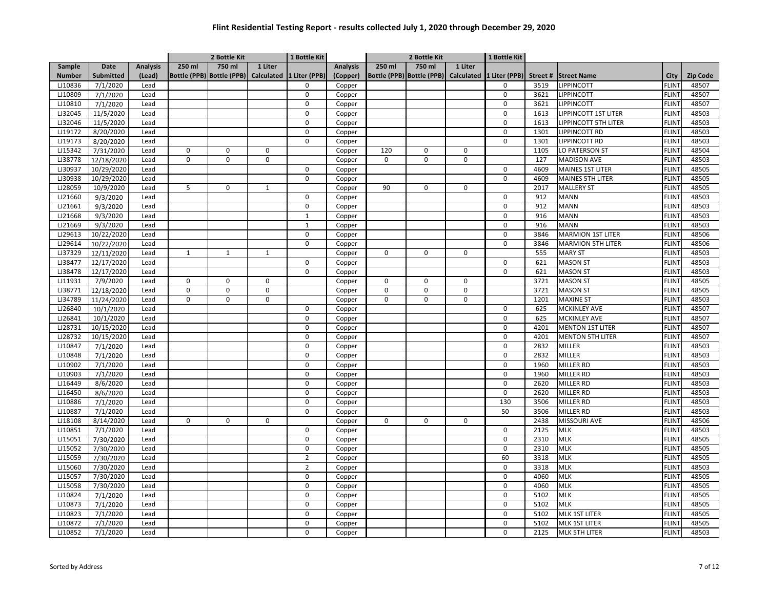|               |                  |                 |              | 2 Bottle Kit |              | 1 Bottle Kit                                       |                 |             | 2 Bottle Kit                         |         | 1 Bottle Kit   |         |                             |              |                 |
|---------------|------------------|-----------------|--------------|--------------|--------------|----------------------------------------------------|-----------------|-------------|--------------------------------------|---------|----------------|---------|-----------------------------|--------------|-----------------|
| Sample        | Date             | <b>Analysis</b> | 250 ml       | 750 ml       | 1 Liter      |                                                    | <b>Analysis</b> | 250 ml      | 750 ml                               | 1 Liter |                |         |                             |              |                 |
| <b>Number</b> | <b>Submitted</b> | (Lead)          |              |              |              | Bottle (PPB) Bottle (PPB) Calculated 1 Liter (PPB) | (Copper)        |             | Bottle (PPB) Bottle (PPB) Calculated |         | 1 Liter (PPB)  | Street# | <b>Street Name</b>          | City         | <b>Zip Code</b> |
| LJ10836       | 7/1/2020         | Lead            |              |              |              | 0                                                  | Copper          |             |                                      |         | $\mathbf 0$    | 3519    | <b>LIPPINCOTT</b>           | <b>FLINT</b> | 48507           |
| LJ10809       | 7/1/2020         | Lead            |              |              |              | $\mathbf 0$                                        | Copper          |             |                                      |         | $\mathbf 0$    | 3621    | <b>LIPPINCOTT</b>           | <b>FLINT</b> | 48507           |
| LJ10810       | 7/1/2020         | Lead            |              |              |              | $\mathbf 0$                                        | Copper          |             |                                      |         | $\mathbf 0$    | 3621    | <b>LIPPINCOTT</b>           | <b>FLINT</b> | 48507           |
| LJ32045       | 11/5/2020        | Lead            |              |              |              | $\mathbf 0$                                        | Copper          |             |                                      |         | $\mathbf 0$    | 1613    | LIPPINCOTT 1ST LITER        | <b>FLINT</b> | 48503           |
| LJ32046       | 11/5/2020        | Lead            |              |              |              | $\Omega$                                           | Copper          |             |                                      |         | $\mathbf 0$    | 1613    | <b>LIPPINCOTT 5TH LITER</b> | <b>FLINT</b> | 48503           |
| LJ19172       | 8/20/2020        | Lead            |              |              |              | $\mathbf 0$                                        | Copper          |             |                                      |         | $\mathbf 0$    | 1301    | LIPPINCOTT RD               | <b>FLINT</b> | 48503           |
| LJ19173       | 8/20/2020        | Lead            |              |              |              | $\Omega$                                           | Copper          |             |                                      |         | $\Omega$       | 1301    | LIPPINCOTT RD               | <b>FLINT</b> | 48503           |
| LJ15342       | 7/31/2020        | Lead            | 0            | 0            | 0            |                                                    | Copper          | 120         | $\pmb{0}$                            | 0       |                | 1105    | LO PATERSON ST              | <b>FLINT</b> | 48504           |
| LJ38778       | 12/18/2020       | Lead            | $\Omega$     | 0            | $\mathbf 0$  |                                                    | Copper          | $\mathbf 0$ | $\pmb{0}$                            | 0       |                | 127     | <b>MADISON AVE</b>          | <b>FLINT</b> | 48503           |
| LJ30937       | 10/29/2020       | Lead            |              |              |              | 0                                                  | Copper          |             |                                      |         | 0              | 4609    | MAINES 1ST LITER            | <b>FLINT</b> | 48505           |
| LJ30938       | 10/29/2020       | Lead            |              |              |              | $\mathbf 0$                                        | Copper          |             |                                      |         | $\mathbf 0$    | 4609    | <b>MAINES 5TH LITER</b>     | <b>FLINT</b> | 48505           |
| LJ28059       | 10/9/2020        | Lead            | 5            | $\pmb{0}$    | $\mathbf{1}$ |                                                    | Copper          | 90          | $\mathbf 0$                          | 0       |                | 2017    | <b>MALLERY ST</b>           | <b>FLINT</b> | 48505           |
| LJ21660       | 9/3/2020         | Lead            |              |              |              | $\Omega$                                           | Copper          |             |                                      |         | $\mathbf 0$    | 912     | <b>MANN</b>                 | <b>FLINT</b> | 48503           |
| LJ21661       | 9/3/2020         | Lead            |              |              |              | $\mathbf 0$                                        | Copper          |             |                                      |         | $\mathbf 0$    | 912     | <b>MANN</b>                 | <b>FLINT</b> | 48503           |
| LJ21668       | 9/3/2020         | Lead            |              |              |              | $\mathbf{1}$                                       | Copper          |             |                                      |         | 0              | 916     | <b>MANN</b>                 | <b>FLINT</b> | 48503           |
| LJ21669       | 9/3/2020         | Lead            |              |              |              | $\mathbf{1}$                                       | Copper          |             |                                      |         | 0              | 916     | <b>MANN</b>                 | <b>FLINT</b> | 48503           |
| LJ29613       | 10/22/2020       | Lead            |              |              |              | $\mathbf 0$                                        | Copper          |             |                                      |         | $\mathbf 0$    | 3846    | <b>MARMION 1ST LITER</b>    | FLINT        | 48506           |
| LJ29614       | 10/22/2020       | Lead            |              |              |              | $\mathbf 0$                                        | Copper          |             |                                      |         | 0              | 3846    | <b>MARMION 5TH LITER</b>    | FLINT        | 48506           |
| LJ37329       | 12/11/2020       | Lead            | $\mathbf{1}$ | $\mathbf{1}$ | $\mathbf{1}$ |                                                    | Copper          | $\mathbf 0$ | $\mathbf 0$                          | 0       |                | 555     | <b>MARY ST</b>              | <b>FLINT</b> | 48503           |
| LJ38477       | 12/17/2020       | Lead            |              |              |              | $\Omega$                                           | Copper          |             |                                      |         | $\mathbf 0$    | 621     | <b>MASON ST</b>             | <b>FLINT</b> | 48503           |
| LJ38478       | 12/17/2020       | Lead            |              |              |              | 0                                                  | Copper          |             |                                      |         | $\mathbf 0$    | 621     | <b>MASON ST</b>             | <b>FLINT</b> | 48503           |
| LJ11931       | 7/9/2020         | Lead            | $\pmb{0}$    | $\mathbf 0$  | $\mathbf 0$  |                                                    | Copper          | $\mathbf 0$ | $\pmb{0}$                            | 0       |                | 3721    | <b>MASON ST</b>             | <b>FLINT</b> | 48505           |
| LJ38771       | 12/18/2020       | Lead            | $\pmb{0}$    | $\mathbf 0$  | $\mathbf 0$  |                                                    | Copper          | $\mathsf 0$ | $\pmb{0}$                            | 0       |                | 3721    | <b>MASON ST</b>             | <b>FLINT</b> | 48505           |
| LJ34789       | 11/24/2020       | Lead            | $\mathbf 0$  | $\mathbf 0$  | $\mathbf 0$  |                                                    | Copper          | $\mathbf 0$ | $\mathbf 0$                          | 0       |                | 1201    | <b>MAXINE ST</b>            | <b>FLINT</b> | 48503           |
| LJ26840       | 10/1/2020        | Lead            |              |              |              | 0                                                  | Copper          |             |                                      |         | 0              | 625     | <b>MCKINLEY AVE</b>         | FLINT        | 48507           |
| LJ26841       | 10/1/2020        | Lead            |              |              |              | $\mathbf 0$                                        | Copper          |             |                                      |         | $\mathbf 0$    | 625     | <b>MCKINLEY AVE</b>         | <b>FLINT</b> | 48507           |
| LJ28731       | 10/15/2020       | Lead            |              |              |              | $\mathbf 0$                                        | Copper          |             |                                      |         | $\mathbf 0$    | 4201    | <b>MENTON 1ST LITER</b>     | <b>FLINT</b> | 48507           |
| LJ28732       | 10/15/2020       | Lead            |              |              |              | $\mathbf 0$                                        | Copper          |             |                                      |         | $\mathbf 0$    | 4201    | <b>MENTON 5TH LITER</b>     | <b>FLINT</b> | 48507           |
| LJ10847       | 7/1/2020         | Lead            |              |              |              | $\mathbf 0$                                        | Copper          |             |                                      |         | 0              | 2832    | MILLER                      | <b>FLINT</b> | 48503           |
| LJ10848       | 7/1/2020         | Lead            |              |              |              | $\mathbf 0$                                        | Copper          |             |                                      |         | $\overline{0}$ | 2832    | MILLER                      | <b>FLINT</b> | 48503           |
| LJ10902       | 7/1/2020         | Lead            |              |              |              | $\mathbf 0$                                        | Copper          |             |                                      |         | 0              | 1960    | MILLER RD                   | FLINT        | 48503           |
| LJ10903       | 7/1/2020         | Lead            |              |              |              | 0                                                  | Copper          |             |                                      |         | 0              | 1960    | MILLER RD                   | <b>FLINT</b> | 48503           |
| LJ16449       | 8/6/2020         | Lead            |              |              |              | $\mathbf 0$                                        | Copper          |             |                                      |         | $\mathbf 0$    | 2620    | MILLER RD                   | <b>FLINT</b> | 48503           |
| LJ16450       | 8/6/2020         | Lead            |              |              |              | $\mathbf 0$                                        | Copper          |             |                                      |         | $\mathbf 0$    | 2620    | MILLER RD                   | <b>FLINT</b> | 48503           |
| LJ10886       | 7/1/2020         | Lead            |              |              |              | $\Omega$                                           | Copper          |             |                                      |         | 130            | 3506    | MILLER RD                   | <b>FLINT</b> | 48503           |
| LJ10887       | 7/1/2020         | Lead            |              |              |              | $\mathbf 0$                                        | Copper          |             |                                      |         | 50             | 3506    | MILLER RD                   | <b>FLINT</b> | 48503           |
| LJ18108       | 8/14/2020        | Lead            | $\mathbf 0$  | 0            | $\mathbf 0$  |                                                    | Copper          | $\mathbf 0$ | $\pmb{0}$                            | 0       |                | 2438    | <b>MISSOURI AVE</b>         | <b>FLINT</b> | 48506           |
| LJ10851       | 7/1/2020         | Lead            |              |              |              | $\Omega$                                           | Copper          |             |                                      |         | $\mathbf 0$    | 2125    | MLK                         | <b>FLINT</b> | 48503           |
| LJ15051       | 7/30/2020        | Lead            |              |              |              | 0                                                  | Copper          |             |                                      |         | 0              | 2310    | MLK                         | FLINT        | 48505           |
| LJ15052       | 7/30/2020        | Lead            |              |              |              | 0                                                  | Copper          |             |                                      |         | $\mathbf 0$    | 2310    | <b>MLK</b>                  | <b>FLINT</b> | 48505           |
| LJ15059       | 7/30/2020        | Lead            |              |              |              | $\overline{2}$                                     | Copper          |             |                                      |         | 60             | 3318    | <b>MLK</b>                  | <b>FLINT</b> | 48505           |
| LJ15060       | 7/30/2020        | Lead            |              |              |              | $\overline{2}$                                     | Copper          |             |                                      |         | $\mathbf 0$    | 3318    | <b>MLK</b>                  | <b>FLINT</b> | 48503           |
| LJ15057       | 7/30/2020        | Lead            |              |              |              | $\mathbf 0$                                        | Copper          |             |                                      |         | $\mathbf 0$    | 4060    | <b>MLK</b>                  | FLINT        | 48505           |
| LJ15058       | 7/30/2020        | Lead            |              |              |              | $\mathbf 0$                                        | Copper          |             |                                      |         | $\mathbf 0$    | 4060    | MLK                         | <b>FLINT</b> | 48505           |
| LJ10824       | 7/1/2020         | Lead            |              |              |              | $\mathbf 0$                                        | Copper          |             |                                      |         | $\mathbf 0$    | 5102    | <b>MLK</b>                  | <b>FLINT</b> | 48505           |
| LJ10873       | 7/1/2020         | Lead            |              |              |              | 0                                                  | Copper          |             |                                      |         | 0              | 5102    | MLK                         | <b>FLINT</b> | 48505           |
| LJ10823       | 7/1/2020         | Lead            |              |              |              | $\mathbf 0$                                        | Copper          |             |                                      |         | $\mathbf 0$    | 5102    | <b>MLK 1ST LITER</b>        | <b>FLINT</b> | 48505           |
| LJ10872       | 7/1/2020         | Lead            |              |              |              | $\mathbf 0$                                        | Copper          |             |                                      |         | 0              | 5102    | <b>MLK 1ST LITER</b>        | FLINT        | 48505           |
| LJ10852       | 7/1/2020         | Lead            |              |              |              | 0                                                  | Copper          |             |                                      |         | $\Omega$       | 2125    | MLK 5TH LITER               | <b>FLINT</b> | 48503           |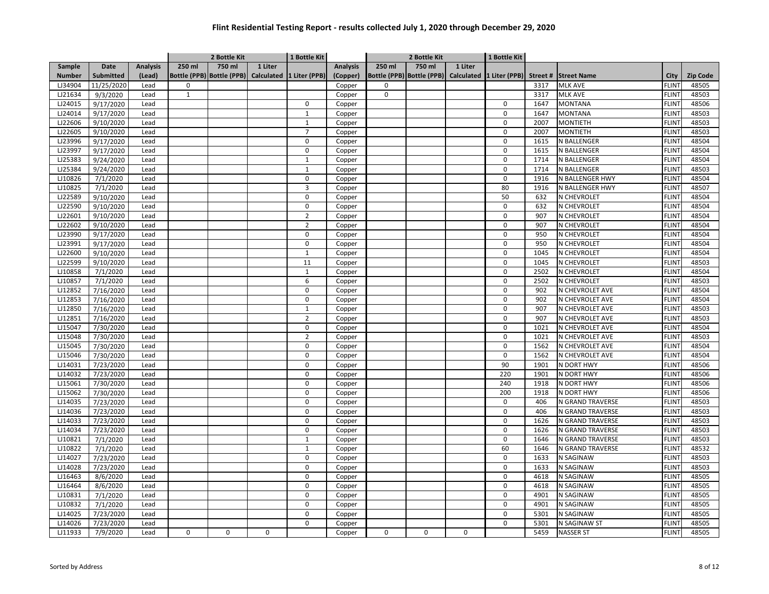|               |            |                 |              | 2 Bottle Kit |         | 1 Bottle Kit                                       |          |             | 2 Bottle Kit |         | 1 Bottle Kit |      |                                                                         |              |          |
|---------------|------------|-----------------|--------------|--------------|---------|----------------------------------------------------|----------|-------------|--------------|---------|--------------|------|-------------------------------------------------------------------------|--------------|----------|
| Sample        | Date       | <b>Analysis</b> | 250 ml       | 750 ml       | 1 Liter |                                                    | Analysis | 250 ml      | 750 ml       | 1 Liter |              |      |                                                                         |              |          |
| <b>Number</b> | Submitted  | (Lead)          |              |              |         | Bottle (PPB) Bottle (PPB) Calculated 1 Liter (PPB) | (Copper) |             |              |         |              |      | Bottle (PPB) Bottle (PPB) Calculated 1 Liter (PPB) Street # Street Name | City         | Zip Code |
| LJ34904       | 11/25/2020 | Lead            | $\mathbf 0$  |              |         |                                                    | Copper   | $\Omega$    |              |         |              | 3317 | <b>MLK AVE</b>                                                          | <b>FLINT</b> | 48505    |
| LJ21634       | 9/3/2020   | Lead            | $\mathbf{1}$ |              |         |                                                    | Copper   | $\mathbf 0$ |              |         |              | 3317 | <b>MLK AVE</b>                                                          | <b>FLINT</b> | 48503    |
| LJ24015       | 9/17/2020  | Lead            |              |              |         | $\mathbf 0$                                        | Copper   |             |              |         | $\mathbf 0$  | 1647 | <b>MONTANA</b>                                                          | FLINT        | 48506    |
| LJ24014       | 9/17/2020  | Lead            |              |              |         | $\mathbf{1}$                                       | Copper   |             |              |         | $\mathbf 0$  | 1647 | <b>MONTANA</b>                                                          | <b>FLINT</b> | 48503    |
| LJ22606       | 9/10/2020  | Lead            |              |              |         | $\mathbf{1}$                                       | Copper   |             |              |         | $\mathbf 0$  | 2007 | <b>MONTIETH</b>                                                         | FLINT        | 48503    |
| LJ22605       | 9/10/2020  | Lead            |              |              |         | $\overline{7}$                                     | Copper   |             |              |         | $\mathbf 0$  | 2007 | <b>MONTIETH</b>                                                         | <b>FLINT</b> | 48503    |
| LJ23996       | 9/17/2020  | Lead            |              |              |         | $\mathbf 0$                                        | Copper   |             |              |         | 0            | 1615 | N BALLENGER                                                             | <b>FLINT</b> | 48504    |
| LJ23997       | 9/17/2020  | Lead            |              |              |         | 0                                                  | Copper   |             |              |         | 0            | 1615 | N BALLENGER                                                             | FLINT        | 48504    |
| LJ25383       | 9/24/2020  | Lead            |              |              |         | $\mathbf{1}$                                       | Copper   |             |              |         | $\mathbf 0$  | 1714 | N BALLENGER                                                             | FLINT        | 48504    |
| LJ25384       | 9/24/2020  | Lead            |              |              |         | $\mathbf{1}$                                       | Copper   |             |              |         | $\mathbf 0$  | 1714 | N BALLENGER                                                             | <b>FLINT</b> | 48503    |
| LJ10826       | 7/1/2020   | Lead            |              |              |         | $\mathbf 0$                                        | Copper   |             |              |         | $\mathbf 0$  | 1916 | N BALLENGER HWY                                                         | <b>FLINT</b> | 48504    |
| LJ10825       | 7/1/2020   | Lead            |              |              |         | 3                                                  | Copper   |             |              |         | 80           | 1916 | N BALLENGER HWY                                                         | FLINT        | 48507    |
| LJ22589       | 9/10/2020  | Lead            |              |              |         | $\Omega$                                           | Copper   |             |              |         | 50           | 632  | N CHEVROLET                                                             | FLINT        | 48504    |
| LJ22590       | 9/10/2020  | Lead            |              |              |         | $\mathbf 0$                                        | Copper   |             |              |         | $\mathbf 0$  | 632  | N CHEVROLET                                                             | <b>FLINT</b> | 48504    |
| LJ22601       | 9/10/2020  | Lead            |              |              |         | $\overline{2}$                                     | Copper   |             |              |         | 0            | 907  | N CHEVROLET                                                             | FLINT        | 48504    |
| LJ22602       | 9/10/2020  | Lead            |              |              |         | $\overline{2}$                                     | Copper   |             |              |         | $\mathbf 0$  | 907  | N CHEVROLET                                                             | <b>FLINT</b> | 48504    |
| LJ23990       | 9/17/2020  | Lead            |              |              |         | $\mathbf 0$                                        | Copper   |             |              |         | $\mathbf 0$  | 950  | N CHEVROLET                                                             | FLINT        | 48504    |
| LJ23991       | 9/17/2020  | Lead            |              |              |         | $\Omega$                                           | Copper   |             |              |         | $\Omega$     | 950  | N CHEVROLET                                                             | <b>FLINT</b> | 48504    |
| LJ22600       | 9/10/2020  | Lead            |              |              |         | $\mathbf{1}$                                       | Copper   |             |              |         | $\mathbf 0$  | 1045 | N CHEVROLET                                                             | <b>FLINT</b> | 48504    |
| LJ22599       | 9/10/2020  | Lead            |              |              |         | 11                                                 | Copper   |             |              |         | 0            | 1045 | N CHEVROLET                                                             | FLINT        | 48503    |
| LJ10858       | 7/1/2020   | Lead            |              |              |         | $\mathbf{1}$                                       | Copper   |             |              |         | $\mathbf 0$  | 2502 | N CHEVROLET                                                             | <b>FLINT</b> | 48504    |
| LJ10857       | 7/1/2020   | Lead            |              |              |         | 6                                                  | Copper   |             |              |         | 0            | 2502 | N CHEVROLET                                                             | FLINT        | 48503    |
| LJ12852       | 7/16/2020  | Lead            |              |              |         | $\mathbf 0$                                        | Copper   |             |              |         | 0            | 902  | N CHEVROLET AVE                                                         | <b>FLINT</b> | 48504    |
| LJ12853       | 7/16/2020  | Lead            |              |              |         | $\mathbf 0$                                        | Copper   |             |              |         | 0            | 902  | N CHEVROLET AVE                                                         | <b>FLINT</b> | 48504    |
| LJ12850       | 7/16/2020  | Lead            |              |              |         | $\mathbf{1}$                                       | Copper   |             |              |         | 0            | 907  | N CHEVROLET AVE                                                         | <b>FLINT</b> | 48503    |
| LJ12851       | 7/16/2020  | Lead            |              |              |         | 2                                                  | Copper   |             |              |         | $\mathbf 0$  | 907  | N CHEVROLET AVE                                                         | <b>FLINT</b> | 48503    |
| LJ15047       | 7/30/2020  | Lead            |              |              |         | $\mathbf 0$                                        | Copper   |             |              |         | 0            | 1021 | N CHEVROLET AVE                                                         | <b>FLINT</b> | 48504    |
| LJ15048       | 7/30/2020  | Lead            |              |              |         | $\overline{2}$                                     | Copper   |             |              |         | $\mathbf 0$  | 1021 | N CHEVROLET AVE                                                         | <b>FLINT</b> | 48503    |
| LJ15045       | 7/30/2020  | Lead            |              |              |         | $\mathbf 0$                                        | Copper   |             |              |         | $\mathbf 0$  | 1562 | N CHEVROLET AVE                                                         | FLINT        | 48504    |
| LJ15046       | 7/30/2020  | Lead            |              |              |         | 0                                                  | Copper   |             |              |         | 0            | 1562 | N CHEVROLET AVE                                                         | <b>FLINT</b> | 48504    |
| LJ14031       | 7/23/2020  | Lead            |              |              |         | $\mathbf 0$                                        | Copper   |             |              |         | 90           | 1901 | N DORT HWY                                                              | <b>FLINT</b> | 48506    |
| LJ14032       | 7/23/2020  | Lead            |              |              |         | $\mathbf 0$                                        | Copper   |             |              |         | 220          | 1901 | N DORT HWY                                                              | <b>FLINT</b> | 48506    |
| LJ15061       | 7/30/2020  | Lead            |              |              |         | $\mathbf 0$                                        | Copper   |             |              |         | 240          | 1918 | N DORT HWY                                                              | <b>FLINT</b> | 48506    |
| LJ15062       | 7/30/2020  | Lead            |              |              |         | $\mathbf 0$                                        | Copper   |             |              |         | 200          | 1918 | N DORT HWY                                                              | <b>FLINT</b> | 48506    |
| LJ14035       | 7/23/2020  | Lead            |              |              |         | $\mathbf 0$                                        | Copper   |             |              |         | $\mathbf 0$  | 406  | N GRAND TRAVERSE                                                        | <b>FLINT</b> | 48503    |
| LJ14036       | 7/23/2020  | Lead            |              |              |         | $\Omega$                                           | Copper   |             |              |         | $\Omega$     | 406  | N GRAND TRAVERSE                                                        | FLINT        | 48503    |
| LJ14033       | 7/23/2020  | Lead            |              |              |         | $\mathbf 0$                                        | Copper   |             |              |         | $\mathsf 0$  | 1626 | N GRAND TRAVERSE                                                        | <b>FLINT</b> | 48503    |
| LJ14034       | 7/23/2020  | Lead            |              |              |         | 0                                                  | Copper   |             |              |         | $\mathbf 0$  | 1626 | N GRAND TRAVERSE                                                        | FLINT        | 48503    |
| LJ10821       | 7/1/2020   | Lead            |              |              |         | $\mathbf{1}$                                       | Copper   |             |              |         | 0            | 1646 | N GRAND TRAVERSE                                                        | FLINT        | 48503    |
| LJ10822       | 7/1/2020   | Lead            |              |              |         | 1                                                  | Copper   |             |              |         | 60           | 1646 | N GRAND TRAVERSE                                                        | <b>FLINT</b> | 48532    |
| LJ14027       | 7/23/2020  | Lead            |              |              |         | $\mathbf 0$                                        | Copper   |             |              |         | 0            | 1633 | N SAGINAW                                                               | <b>FLINT</b> | 48503    |
| LJ14028       | 7/23/2020  | Lead            |              |              |         | $\Omega$                                           | Copper   |             |              |         | 0            | 1633 | N SAGINAW                                                               | <b>FLINT</b> | 48503    |
| LJ16463       | 8/6/2020   | Lead            |              |              |         | $\Omega$                                           | Copper   |             |              |         | 0            | 4618 | N SAGINAW                                                               | FLINT        | 48505    |
| LJ16464       | 8/6/2020   | Lead            |              |              |         | $\mathbf 0$                                        | Copper   |             |              |         | $\mathbf 0$  | 4618 | N SAGINAW                                                               | FLINT        | 48505    |
| LJ10831       | 7/1/2020   | Lead            |              |              |         | $\mathbf 0$                                        | Copper   |             |              |         | $\mathbf 0$  | 4901 | N SAGINAW                                                               | <b>FLINT</b> | 48505    |
| LJ10832       | 7/1/2020   | Lead            |              |              |         | $\mathbf 0$                                        | Copper   |             |              |         | $\mathbf 0$  | 4901 | N SAGINAW                                                               | FLINT        | 48505    |
| LJ14025       | 7/23/2020  | Lead            |              |              |         | 0                                                  | Copper   |             |              |         | 0            | 5301 | N SAGINAW                                                               | <b>FLINT</b> | 48505    |
| LJ14026       | 7/23/2020  | Lead            |              |              |         | $\mathbf 0$                                        | Copper   |             |              |         | $\mathbf 0$  | 5301 | N SAGINAW ST                                                            | <b>FLINT</b> | 48505    |
| LJ11933       | 7/9/2020   | Lead            | $\mathbf 0$  | 0            | 0       |                                                    | Copper   | $\mathbf 0$ | $\mathbf 0$  | 0       |              | 5459 | <b>NASSER ST</b>                                                        | <b>FLINT</b> | 48505    |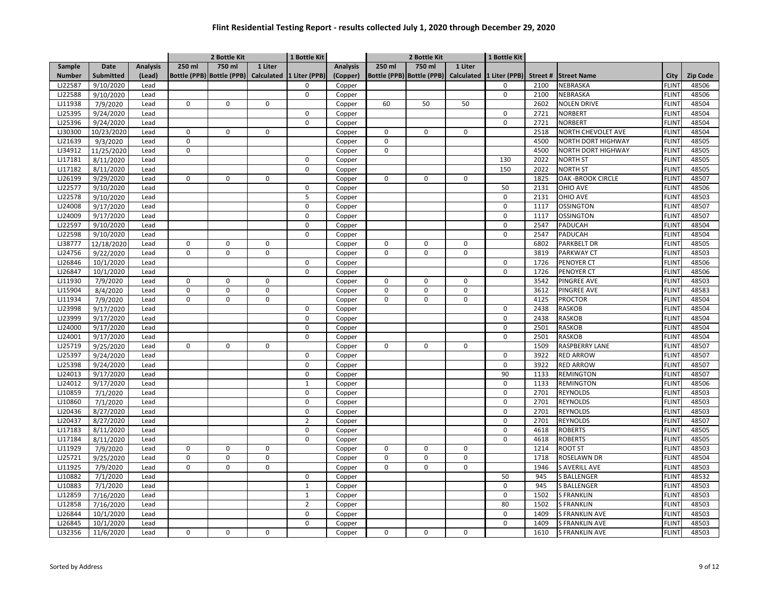|               |                  |                 |             | 2 Bottle Kit              |             | 1 Bottle Kit             |                 |             | 2 Bottle Kit              |             | 1 Bottle Kit  |         |                         |              |                 |
|---------------|------------------|-----------------|-------------|---------------------------|-------------|--------------------------|-----------------|-------------|---------------------------|-------------|---------------|---------|-------------------------|--------------|-----------------|
| Sample        | Date             | <b>Analysis</b> | 250 ml      | 750 ml                    | 1 Liter     |                          | <b>Analysis</b> | 250 ml      | 750 ml                    | 1 Liter     |               |         |                         |              |                 |
| <b>Number</b> | <b>Submitted</b> | (Lead)          |             | Bottle (PPB) Bottle (PPB) |             | Calculated 1 Liter (PPB) | (Copper)        |             | Bottle (PPB) Bottle (PPB) | Calculated  | 1 Liter (PPB) | Street# | <b>Street Name</b>      | City         | <b>Zip Code</b> |
| LJ22587       | 9/10/2020        | Lead            |             |                           |             | 0                        | Copper          |             |                           |             | 0             | 2100    | NEBRASKA                | FLINT        | 48506           |
| LJ22588       | 9/10/2020        | Lead            |             |                           |             | $\mathbf 0$              | Copper          |             |                           |             | $\mathbf 0$   | 2100    | NEBRASKA                | FLINT        | 48506           |
| LJ11938       | 7/9/2020         | Lead            | 0           | 0                         | $\mathbf 0$ |                          | Copper          | 60          | 50                        | 50          |               | 2602    | <b>NOLEN DRIVE</b>      | <b>FLINT</b> | 48504           |
| LJ25395       | 9/24/2020        | Lead            |             |                           |             | $\Omega$                 | Copper          |             |                           |             | $\mathbf 0$   | 2721    | <b>NORBERT</b>          | <b>FLINT</b> | 48504           |
| LJ25396       | 9/24/2020        | Lead            |             |                           |             | $\mathbf 0$              | Copper          |             |                           |             | $\mathbf 0$   | 2721    | <b>NORBERT</b>          | <b>FLINT</b> | 48504           |
| LJ30300       | 10/23/2020       | Lead            | $\mathbf 0$ | 0                         | $\mathbf 0$ |                          | Copper          | $\mathbf 0$ | 0                         | $\mathbf 0$ |               | 2518    | NORTH CHEVOLET AVE      | <b>FLINT</b> | 48504           |
| LJ21639       | 9/3/2020         | Lead            | $\Omega$    |                           |             |                          | Copper          | $\mathbf 0$ |                           |             |               | 4500    | NORTH DORT HIGHWAY      | FLINT        | 48505           |
| LJ34912       | 11/25/2020       | Lead            | $\Omega$    |                           |             |                          | Copper          | $\mathbf 0$ |                           |             |               | 4500    | NORTH DORT HIGHWAY      | <b>FLINT</b> | 48505           |
| LJ17181       | 8/11/2020        | Lead            |             |                           |             | 0                        | Copper          |             |                           |             | 130           | 2022    | <b>NORTH ST</b>         | <b>FLINT</b> | 48505           |
| LJ17182       | 8/11/2020        | Lead            |             |                           |             | 0                        | Copper          |             |                           |             | 150           | 2022    | <b>NORTH ST</b>         | <b>FLINT</b> | 48505           |
| LJ26199       | 9/29/2020        | Lead            | $\Omega$    | 0                         | $\mathbf 0$ |                          | Copper          | $\mathbf 0$ | 0                         | $\mathbf 0$ |               | 1825    | <b>OAK-BROOK CIRCLE</b> | <b>FLINT</b> | 48507           |
| LJ22577       | 9/10/2020        | Lead            |             |                           |             | $\mathbf 0$              | Copper          |             |                           |             | 50            | 2131    | OHIO AVE                | <b>FLINT</b> | 48506           |
| LJ22578       | 9/10/2020        | Lead            |             |                           |             | 5                        | Copper          |             |                           |             | $\mathbf 0$   | 2131    | OHIO AVE                | <b>FLINT</b> | 48503           |
| LJ24008       | 9/17/2020        | Lead            |             |                           |             | $\mathbf 0$              | Copper          |             |                           |             | $\mathbf 0$   | 1117    | <b>OSSINGTON</b>        | <b>FLINT</b> | 48507           |
| LJ24009       | 9/17/2020        | Lead            |             |                           |             | $\mathbf 0$              | Copper          |             |                           |             | $\mathbf 0$   | 1117    | <b>OSSINGTON</b>        | FLINT        | 48507           |
| LJ22597       | 9/10/2020        | Lead            |             |                           |             | $\mathbf 0$              | Copper          |             |                           |             | $\mathbf 0$   | 2547    | PADUCAH                 | <b>FLINT</b> | 48504           |
| LJ22598       | 9/10/2020        | Lead            |             |                           |             | $\mathbf 0$              | Copper          |             |                           |             | $\mathbf 0$   | 2547    | <b>PADUCAH</b>          | FLINT        | 48504           |
| LJ38777       | 12/18/2020       | Lead            | 0           | 0                         | $\mathbf 0$ |                          | Copper          | $\mathbf 0$ | 0                         | 0           |               | 6802    | PARKBELT DR             | FLINT        | 48505           |
| LJ24756       | 9/22/2020        | Lead            | $\Omega$    | 0                         | $\mathbf 0$ |                          | Copper          | $\mathbf 0$ | $\Omega$                  | 0           |               | 3819    | PARKWAY CT              | <b>FLINT</b> | 48503           |
| LJ26846       | 10/1/2020        | Lead            |             |                           |             | $\Omega$                 | Copper          |             |                           |             | $\mathbf 0$   | 1726    | PENOYER CT              | <b>FLINT</b> | 48506           |
| LJ26847       | 10/1/2020        | Lead            |             |                           |             | $\mathbf 0$              | Copper          |             |                           |             | $\mathbf 0$   | 1726    | <b>PENOYER CT</b>       | <b>FLINT</b> | 48506           |
| LJ11930       | 7/9/2020         | Lead            | $\Omega$    | 0                         | $\mathbf 0$ |                          | Copper          | $\mathbf 0$ | 0                         | $\mathbf 0$ |               | 3542    | <b>PINGREE AVE</b>      | <b>FLINT</b> | 48503           |
| LJ15904       | 8/4/2020         | Lead            | $\mathbf 0$ | 0                         | $\mathsf 0$ |                          | Copper          | $\mathbf 0$ | 0                         | 0           |               | 3612    | PINGREE AVE             | <b>FLINT</b> | 48583           |
| LJ11934       | 7/9/2020         | Lead            | $\Omega$    | 0                         | $\mathbf 0$ |                          | Copper          | $\mathbf 0$ | 0                         | 0           |               | 4125    | <b>PROCTOR</b>          | <b>FLINT</b> | 48504           |
| LJ23998       | 9/17/2020        | Lead            |             |                           |             | 0                        | Copper          |             |                           |             | $\mathbf 0$   | 2438    | <b>RASKOB</b>           | <b>FLINT</b> | 48504           |
| LJ23999       | 9/17/2020        | Lead            |             |                           |             | $\mathbf 0$              | Copper          |             |                           |             | $\mathbf 0$   | 2438    | <b>RASKOB</b>           | <b>FLINT</b> | 48504           |
| LJ24000       | 9/17/2020        | Lead            |             |                           |             | $\Omega$                 | Copper          |             |                           |             | $\mathbf 0$   | 2501    | <b>RASKOB</b>           | <b>FLINT</b> | 48504           |
| LJ24001       | 9/17/2020        | Lead            |             |                           |             | $\mathbf 0$              | Copper          |             |                           |             | $\mathbf 0$   | 2501    | <b>RASKOB</b>           | <b>FLINT</b> | 48504           |
| LJ25719       | 9/25/2020        | Lead            | $\Omega$    | 0                         | $\mathbf 0$ |                          | Copper          | $\mathbf 0$ | $\Omega$                  | 0           |               | 1509    | RASPBERRY LANE          | <b>FLINT</b> | 48507           |
| LJ25397       | 9/24/2020        | Lead            |             |                           |             | $\mathbf 0$              | Copper          |             |                           |             | $\mathbf 0$   | 3922    | <b>RED ARROW</b>        | <b>FLINT</b> | 48507           |
| LJ25398       | 9/24/2020        | Lead            |             |                           |             | $\mathbf 0$              | Copper          |             |                           |             | $\mathbf 0$   | 3922    | <b>RED ARROW</b>        | <b>FLINT</b> | 48507           |
| LJ24013       | 9/17/2020        | Lead            |             |                           |             | 0                        | Copper          |             |                           |             | 90            | 1133    | <b>REMINGTON</b>        | <b>FLINT</b> | 48507           |
| LJ24012       | 9/17/2020        | Lead            |             |                           |             | $\mathbf{1}$             | Copper          |             |                           |             | $\mathbf 0$   | 1133    | <b>REMINGTON</b>        | <b>FLINT</b> | 48506           |
| LJ10859       | 7/1/2020         | Lead            |             |                           |             | $\mathbf 0$              | Copper          |             |                           |             | $\mathbf 0$   | 2701    | <b>REYNOLDS</b>         | <b>FLINT</b> | 48503           |
| LJ10860       | 7/1/2020         | Lead            |             |                           |             | $\Omega$                 | Copper          |             |                           |             | $\mathbf 0$   | 2701    | <b>REYNOLDS</b>         | <b>FLINT</b> | 48503           |
| LJ20436       | 8/27/2020        | Lead            |             |                           |             | $\mathbf 0$              | Copper          |             |                           |             | $\mathbf 0$   | 2701    | <b>REYNOLDS</b>         | <b>FLINT</b> | 48503           |
| LJ20437       | 8/27/2020        | Lead            |             |                           |             | $\overline{2}$           | Copper          |             |                           |             | $\mathbf 0$   | 2701    | REYNOLDS                | <b>FLINT</b> | 48507           |
| LJ17183       | 8/11/2020        | Lead            |             |                           |             | $\Omega$                 | Copper          |             |                           |             | $\mathbf 0$   | 4618    | <b>ROBERTS</b>          | <b>FLINT</b> | 48505           |
| LJ17184       | 8/11/2020        | Lead            |             |                           |             | 0                        | Copper          |             |                           |             | $\mathbf 0$   | 4618    | <b>ROBERTS</b>          | <b>FLINT</b> | 48505           |
| LJ11929       | 7/9/2020         | Lead            | 0           | 0                         | $\mathbf 0$ |                          | Copper          | $\mathbf 0$ | 0                         | 0           |               | 1214    | <b>ROOT ST</b>          | <b>FLINT</b> | 48503           |
| LJ25721       | 9/25/2020        | Lead            | $\Omega$    | 0                         | $\mathbf 0$ |                          | Copper          | $\mathbf 0$ | 0                         | 0           |               | 1718    | ROSELAWN DR             | <b>FLINT</b> | 48504           |
| LJ11925       | 7/9/2020         | Lead            | $\Omega$    | 0                         | $\mathbf 0$ |                          | Copper          | $\mathbf 0$ | $\Omega$                  | 0           |               | 1946    | S AVERILL AVE           | <b>FLINT</b> | 48503           |
| LJ10882       | 7/1/2020         | Lead            |             |                           |             | $\Omega$                 | Copper          |             |                           |             | 50            | 945     | S BALLENGER             | <b>FLINT</b> | 48532           |
| LJ10883       | 7/1/2020         | Lead            |             |                           |             | $\mathbf 1$              | Copper          |             |                           |             | $\mathbf 0$   | 945     | <b>S BALLENGER</b>      | <b>FLINT</b> | 48503           |
| LJ12859       | 7/16/2020        | Lead            |             |                           |             | $\mathbf{1}$             | Copper          |             |                           |             | $\mathsf 0$   | 1502    | <b>S FRANKLIN</b>       | <b>FLINT</b> | 48503           |
| LJ12858       | 7/16/2020        | Lead            |             |                           |             | $\overline{2}$           | Copper          |             |                           |             | 80            | 1502    | <b>S FRANKLIN</b>       | <b>FLINT</b> | 48503           |
| LJ26844       | 10/1/2020        | Lead            |             |                           |             | 0                        | Copper          |             |                           |             | $\mathbf 0$   | 1409    | S FRANKLIN AVE          | <b>FLINT</b> | 48503           |
| LJ26845       | 10/1/2020        | Lead            |             |                           |             | 0                        | Copper          |             |                           |             | 0             | 1409    | <b>S FRANKLIN AVE</b>   | FLINT        | 48503           |
| LJ32356       | 11/6/2020        | Lead            | 0           | 0                         | $\mathbf 0$ |                          | Copper          | 0           | 0                         | 0           |               | 1610    | S FRANKLIN AVE          | <b>FLINT</b> | 48503           |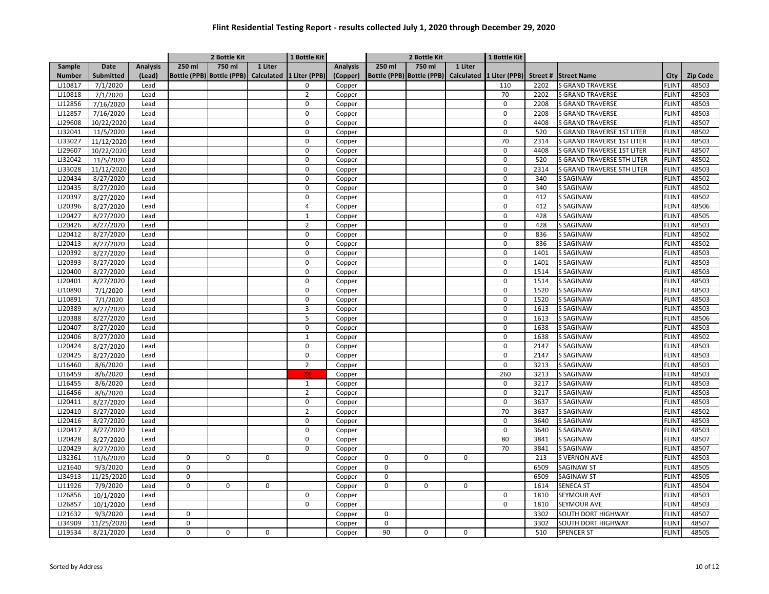|               |                  |                 |             | 2 Bottle Kit                                       |             | 1 Bottle Kit   |                 |             | 2 Bottle Kit                         |             | 1 Bottle Kit  |         |                            |              |                 |
|---------------|------------------|-----------------|-------------|----------------------------------------------------|-------------|----------------|-----------------|-------------|--------------------------------------|-------------|---------------|---------|----------------------------|--------------|-----------------|
| Sample        | Date             | <b>Analysis</b> | 250 ml      | 750 ml                                             | 1 Liter     |                | <b>Analysis</b> | 250 ml      | 750 ml                               | 1 Liter     |               |         |                            |              |                 |
| <b>Number</b> | <b>Submitted</b> | (Lead)          |             | Bottle (PPB) Bottle (PPB) Calculated 1 Liter (PPB) |             |                | (Copper)        |             | Bottle (PPB) Bottle (PPB) Calculated |             | 1 Liter (PPB) | Street# | <b>Street Name</b>         | City         | <b>Zip Code</b> |
| LJ10817       | 7/1/2020         | Lead            |             |                                                    |             | 0              | Copper          |             |                                      |             | 110           | 2202    | <b>S GRAND TRAVERSE</b>    | <b>FLINT</b> | 48503           |
| LJ10818       | 7/1/2020         | Lead            |             |                                                    |             | $\overline{2}$ | Copper          |             |                                      |             | 70            | 2202    | <b>S GRAND TRAVERSE</b>    | <b>FLINT</b> | 48503           |
| LJ12856       | 7/16/2020        | Lead            |             |                                                    |             | $\mathbf 0$    | Copper          |             |                                      |             | $\mathbf 0$   | 2208    | <b>S GRAND TRAVERSE</b>    | <b>FLINT</b> | 48503           |
| LJ12857       | 7/16/2020        | Lead            |             |                                                    |             | $\Omega$       | Copper          |             |                                      |             | 0             | 2208    | S GRAND TRAVERSE           | <b>FLINT</b> | 48503           |
| LJ29608       | 10/22/2020       | Lead            |             |                                                    |             | $\mathbf 0$    | Copper          |             |                                      |             | $\mathbf 0$   | 4408    | <b>S GRAND TRAVERSE</b>    | <b>FLINT</b> | 48507           |
| LJ32041       | 11/5/2020        | Lead            |             |                                                    |             | $\mathbf 0$    | Copper          |             |                                      |             | $\mathbf 0$   | 520     | S GRAND TRAVERSE 1ST LITER | <b>FLIN</b>  | 48502           |
| LJ33027       | 11/12/2020       | Lead            |             |                                                    |             | $\Omega$       | Copper          |             |                                      |             | 70            | 2314    | S GRAND TRAVERSE 1ST LITER | <b>FLINT</b> | 48503           |
| LJ29607       | 10/22/2020       | Lead            |             |                                                    |             | $\mathbf 0$    | Copper          |             |                                      |             | $\mathbf 0$   | 4408    | S GRAND TRAVERSE 1ST LITER | <b>FLIN</b>  | 48507           |
| LJ32042       | 11/5/2020        | Lead            |             |                                                    |             | $\mathbf 0$    | Copper          |             |                                      |             | $\mathbf 0$   | 520     | S GRAND TRAVERSE 5TH LITER | <b>FLINT</b> | 48502           |
| LJ33028       | 11/12/2020       | Lead            |             |                                                    |             | 0              | Copper          |             |                                      |             | 0             | 2314    | S GRAND TRAVERSE 5TH LITER | <b>FLINT</b> | 48503           |
| LJ20434       | 8/27/2020        | Lead            |             |                                                    |             | $\mathbf 0$    | Copper          |             |                                      |             | $\mathbf 0$   | 340     | S SAGINAW                  | <b>FLINT</b> | 48502           |
| LJ20435       | 8/27/2020        | Lead            |             |                                                    |             | $\Omega$       | Copper          |             |                                      |             | $\Omega$      | 340     | <b>S SAGINAW</b>           | <b>FLINT</b> | 48502           |
| LJ20397       | 8/27/2020        | Lead            |             |                                                    |             | $\mathbf 0$    | Copper          |             |                                      |             | $\mathbf 0$   | 412     | S SAGINAW                  | <b>FLINT</b> | 48502           |
| LJ20396       | 8/27/2020        | Lead            |             |                                                    |             | 4              | Copper          |             |                                      |             | 0             | 412     | S SAGINAW                  | <b>FLINT</b> | 48506           |
| LJ20427       | 8/27/2020        | Lead            |             |                                                    |             | $\mathbf{1}$   | Copper          |             |                                      |             | $\mathbf 0$   | 428     | S SAGINAW                  | <b>FLINT</b> | 48505           |
| LJ20426       | 8/27/2020        | Lead            |             |                                                    |             | $\overline{2}$ | Copper          |             |                                      |             | 0             | 428     | S SAGINAW                  | <b>FLINT</b> | 48503           |
| LJ20412       | 8/27/2020        | Lead            |             |                                                    |             | 0              | Copper          |             |                                      |             | $\mathbf 0$   | 836     | <b>S SAGINAW</b>           | <b>FLINT</b> | 48502           |
| LJ20413       | 8/27/2020        | Lead            |             |                                                    |             | $\mathbf 0$    | Copper          |             |                                      |             | $\Omega$      | 836     | S SAGINAW                  | <b>FLINT</b> | 48502           |
| LJ20392       | 8/27/2020        | Lead            |             |                                                    |             | $\Omega$       | Copper          |             |                                      |             | $\Omega$      | 1401    | S SAGINAW                  | <b>FLINT</b> | 48503           |
| LJ20393       | 8/27/2020        | Lead            |             |                                                    |             | $\Omega$       | Copper          |             |                                      |             | $\mathbf 0$   | 1401    | <b>S SAGINAW</b>           | <b>FLINT</b> | 48503           |
| LJ20400       | 8/27/2020        | Lead            |             |                                                    |             | $\mathbf 0$    | Copper          |             |                                      |             | $\mathbf 0$   | 1514    | <b>S SAGINAW</b>           | <b>FLINT</b> | 48503           |
| LJ20401       | 8/27/2020        | Lead            |             |                                                    |             | $\mathbf 0$    | Copper          |             |                                      |             | $\mathbf 0$   | 1514    | S SAGINAW                  | <b>FLINT</b> | 48503           |
| LJ10890       | 7/1/2020         | Lead            |             |                                                    |             | $\mathbf 0$    | Copper          |             |                                      |             | 0             | 1520    | S SAGINAW                  | <b>FLINT</b> | 48503           |
| LJ10891       | 7/1/2020         | Lead            |             |                                                    |             | $\mathbf 0$    | Copper          |             |                                      |             | $\mathbf 0$   | 1520    | <b>S SAGINAW</b>           | <b>FLINT</b> | 48503           |
| LJ20389       | 8/27/2020        | Lead            |             |                                                    |             | 3              | Copper          |             |                                      |             | $\mathbf 0$   | 1613    | <b>S SAGINAW</b>           | <b>FLINT</b> | 48503           |
| LJ20388       | 8/27/2020        | Lead            |             |                                                    |             | 5              | Copper          |             |                                      |             | $\mathbf 0$   | 1613    | S SAGINAW                  | <b>FLINT</b> | 48506           |
| LJ20407       | 8/27/2020        | Lead            |             |                                                    |             | $\Omega$       | Copper          |             |                                      |             | $\Omega$      | 1638    | S SAGINAW                  | <b>FLINT</b> | 48503           |
| LJ20406       | 8/27/2020        | Lead            |             |                                                    |             | $\mathbf{1}$   | Copper          |             |                                      |             | $\Omega$      | 1638    | <b>S SAGINAW</b>           | <b>FLINT</b> | 48502           |
| LJ20424       | 8/27/2020        | Lead            |             |                                                    |             | $\mathbf 0$    | Copper          |             |                                      |             | 0             | 2147    | S SAGINAW                  | <b>FLINT</b> | 48503           |
| LJ20425       | 8/27/2020        | Lead            |             |                                                    |             | 0              | Copper          |             |                                      |             | 0             | 2147    | <b>S SAGINAW</b>           | <b>FLINT</b> | 48503           |
| LJ16460       | 8/6/2020         | Lead            |             |                                                    |             | $\overline{2}$ | Copper          |             |                                      |             | $\mathbf 0$   | 3213    | S SAGINAW                  | <b>FLINT</b> | 48503           |
| LJ16459       | 8/6/2020         | Lead            |             |                                                    |             | 28             | Copper          |             |                                      |             | 260           | 3213    | <b>S SAGINAW</b>           | <b>FLINT</b> | 48503           |
| LJ16455       | 8/6/2020         | Lead            |             |                                                    |             | $\mathbf{1}$   | Copper          |             |                                      |             | $\mathbf 0$   | 3217    | <b>S SAGINAW</b>           | <b>FLINT</b> | 48503           |
| LJ16456       | 8/6/2020         | Lead            |             |                                                    |             | $\overline{2}$ | Copper          |             |                                      |             | $\mathbf 0$   | 3217    | <b>S SAGINAW</b>           | <b>FLINT</b> | 48503           |
| LJ20411       | 8/27/2020        | Lead            |             |                                                    |             | $\Omega$       | Copper          |             |                                      |             | $\Omega$      | 3637    | S SAGINAW                  | <b>FLINT</b> | 48503           |
| LJ20410       | 8/27/2020        | Lead            |             |                                                    |             | $\overline{2}$ | Copper          |             |                                      |             | 70            | 3637    | S SAGINAW                  | <b>FLINT</b> | 48502           |
| LJ20416       | 8/27/2020        | Lead            |             |                                                    |             | $\mathbf 0$    | Copper          |             |                                      |             | $\mathbf 0$   | 3640    | S SAGINAW                  | <b>FLINT</b> | 48503           |
| LJ20417       | 8/27/2020        | Lead            |             |                                                    |             | $\Omega$       | Copper          |             |                                      |             | $\mathbf 0$   | 3640    | S SAGINAW                  | <b>FLINT</b> | 48503           |
| LJ20428       | 8/27/2020        | Lead            |             |                                                    |             | 0              | Copper          |             |                                      |             | 80            | 3841    | S SAGINAW                  | <b>FLINT</b> | 48507           |
| LJ20429       | 8/27/2020        | Lead            |             |                                                    |             | $\mathbf 0$    | Copper          |             |                                      |             | 70            | 3841    | <b>S SAGINAW</b>           | <b>FLINT</b> | 48507           |
| LJ32361       | 11/6/2020        | Lead            | $\mathbf 0$ | 0                                                  | $\mathbf 0$ |                | Copper          | $\mathbf 0$ | 0                                    | $\mathbf 0$ |               | 213     | <b>S VERNON AVE</b>        | <b>FLINT</b> | 48503           |
| LJ21640       | 9/3/2020         | Lead            | $\Omega$    |                                                    |             |                | Copper          | $\mathbf 0$ |                                      |             |               | 6509    | SAGINAW ST                 | <b>FLINT</b> | 48505           |
| LJ34913       | 11/25/2020       | Lead            | $\Omega$    |                                                    |             |                | Copper          | $\mathbf 0$ |                                      |             |               | 6509    | SAGINAW ST                 | <b>FLINT</b> | 48505           |
| LJ11926       | 7/9/2020         | Lead            | $\Omega$    | 0                                                  | $\mathbf 0$ |                | Copper          | $\mathbf 0$ | 0                                    | $\mathbf 0$ |               | 1614    | <b>SENECA ST</b>           | <b>FLINT</b> | 48504           |
| LJ26856       | 10/1/2020        | Lead            |             |                                                    |             | $\mathbf 0$    | Copper          |             |                                      |             | $\mathbf 0$   | 1810    | <b>SEYMOUR AVE</b>         | <b>FLINT</b> | 48503           |
| LJ26857       | 10/1/2020        | Lead            |             |                                                    |             | 0              | Copper          |             |                                      |             | 0             | 1810    | SEYMOUR AVE                | <b>FLINT</b> | 48503           |
| LJ21632       | 9/3/2020         | Lead            | 0           |                                                    |             |                | Copper          | $\mathbf 0$ |                                      |             |               | 3302    | SOUTH DORT HIGHWAY         | <b>FLINT</b> | 48507           |
| LJ34909       | 11/25/2020       | Lead            | $\mathbf 0$ |                                                    |             |                | Copper          | $\mathbf 0$ |                                      |             |               | 3302    | SOUTH DORT HIGHWAY         | <b>FLINT</b> | 48507           |
| LJ19534       | 8/21/2020        | Lead            | 0           | 0                                                  | 0           |                | Copper          | 90          | 0                                    | 0           |               | 510     | <b>SPENCER ST</b>          | <b>FLINT</b> | 48505           |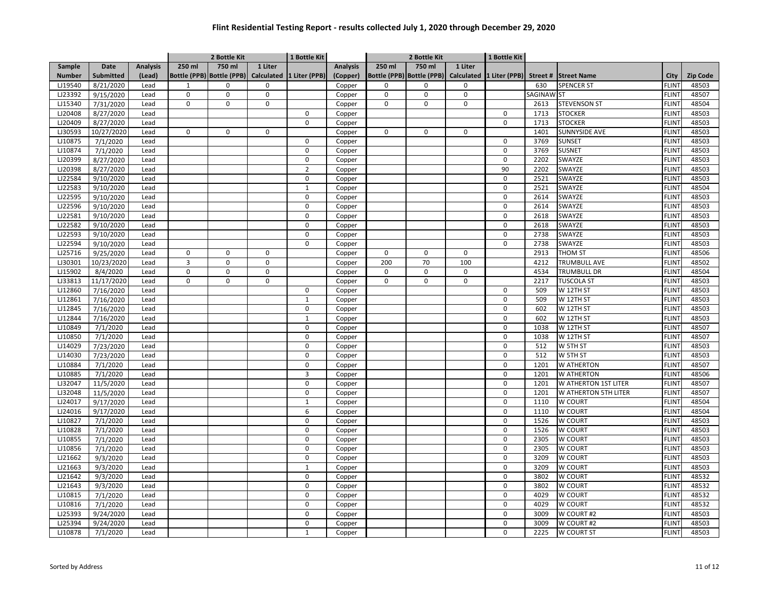|               |                  |                 |                | 2 Bottle Kit                         |             | 1 Bottle Kit   |                 |             | 2 Bottle Kit                         |             | 1 Bottle Kit   |            |                                    |              |                 |
|---------------|------------------|-----------------|----------------|--------------------------------------|-------------|----------------|-----------------|-------------|--------------------------------------|-------------|----------------|------------|------------------------------------|--------------|-----------------|
| Sample        | Date             | <b>Analysis</b> | 250 ml         | 750 ml                               | 1 Liter     |                | <b>Analysis</b> | 250 ml      | 750 ml                               | 1 Liter     |                |            |                                    |              |                 |
| <b>Number</b> | <b>Submitted</b> | (Lead)          |                | Bottle (PPB) Bottle (PPB) Calculated |             | 1 Liter (PPB)  | (Copper)        |             | Bottle (PPB) Bottle (PPB) Calculated |             |                |            | 1 Liter (PPB) Street # Street Name | City         | <b>Zip Code</b> |
| LJ19540       | 8/21/2020        | Lead            | $\mathbf{1}$   | 0                                    | 0           |                | Copper          | $\mathbf 0$ | $\pmb{0}$                            | 0           |                | 630        | <b>SPENCER ST</b>                  | <b>FLINT</b> | 48503           |
| LJ23392       | 9/15/2020        | Lead            | $\mathbf 0$    | $\mathbf 0$                          | $\mathsf 0$ |                | Copper          | $\mathbf 0$ | $\pmb{0}$                            | 0           |                | SAGINAW ST |                                    | FLINT        | 48507           |
| LJ15340       | 7/31/2020        | Lead            | $\mathbf 0$    | $\Omega$                             | 0           |                | Copper          | $\mathbf 0$ | $\mathbf 0$                          | 0           |                | 2613       | <b>STEVENSON ST</b>                | <b>FLINT</b> | 48504           |
| LJ20408       | 8/27/2020        | Lead            |                |                                      |             | $\mathbf 0$    | Copper          |             |                                      |             | $\mathbf 0$    | 1713       | <b>STOCKER</b>                     | <b>FLINT</b> | 48503           |
| LJ20409       | 8/27/2020        | Lead            |                |                                      |             | $\Omega$       | Copper          |             |                                      |             | $\mathbf 0$    | 1713       | <b>STOCKER</b>                     | <b>FLINT</b> | 48503           |
| LJ30593       | 10/27/2020       | Lead            | $\Omega$       | 0                                    | $\mathbf 0$ |                | Copper          | $\mathbf 0$ | $\pmb{0}$                            | 0           |                | 1401       | <b>SUNNYSIDE AVE</b>               | <b>FLINT</b> | 48503           |
| LJ10875       | 7/1/2020         | Lead            |                |                                      |             | 0              | Copper          |             |                                      |             | $\mathbf 0$    | 3769       | <b>SUNSET</b>                      | <b>FLINT</b> | 48503           |
| LJ10874       | 7/1/2020         | Lead            |                |                                      |             | $\mathbf 0$    | Copper          |             |                                      |             | $\mathbf 0$    | 3769       | <b>SUSNET</b>                      | FLINT        | 48503           |
| LJ20399       | 8/27/2020        | Lead            |                |                                      |             | 0              | Copper          |             |                                      |             | 0              | 2202       | SWAYZE                             | <b>FLINT</b> | 48503           |
| LJ20398       | 8/27/2020        | Lead            |                |                                      |             | $\overline{2}$ | Copper          |             |                                      |             | 90             | 2202       | SWAYZE                             | <b>FLINT</b> | 48503           |
| LJ22584       | 9/10/2020        | Lead            |                |                                      |             | $\mathbf 0$    | Copper          |             |                                      |             | $\mathbf 0$    | 2521       | <b>SWAYZE</b>                      | <b>FLINT</b> | 48503           |
| LJ22583       | 9/10/2020        | Lead            |                |                                      |             | $\mathbf{1}$   | Copper          |             |                                      |             | $\mathbf 0$    | 2521       | SWAYZE                             | <b>FLINT</b> | 48504           |
| LJ22595       | 9/10/2020        | Lead            |                |                                      |             | $\Omega$       | Copper          |             |                                      |             | $\mathbf 0$    | 2614       | SWAYZE                             | <b>FLINT</b> | 48503           |
| LJ22596       | 9/10/2020        | Lead            |                |                                      |             | $\mathbf 0$    | Copper          |             |                                      |             | $\mathbf 0$    | 2614       | SWAYZE                             | <b>FLINT</b> | 48503           |
| LJ22581       | 9/10/2020        | Lead            |                |                                      |             | $\mathbf 0$    | Copper          |             |                                      |             | 0              | 2618       | SWAYZE                             | <b>FLINT</b> | 48503           |
| LJ22582       | 9/10/2020        | Lead            |                |                                      |             | $\mathbf 0$    | Copper          |             |                                      |             | 0              | 2618       | SWAYZE                             | <b>FLINT</b> | 48503           |
| LJ22593       | 9/10/2020        | Lead            |                |                                      |             | $\mathbf 0$    | Copper          |             |                                      |             | $\mathbf 0$    | 2738       | SWAYZE                             | FLINT        | 48503           |
| LJ22594       | 9/10/2020        | Lead            |                |                                      |             | $\mathbf 0$    | Copper          |             |                                      |             | 0              | 2738       | SWAYZE                             | <b>FLINT</b> | 48503           |
| LJ25716       | 9/25/2020        | Lead            | $\mathbf 0$    | $\mathbf 0$                          | $\mathbf 0$ |                | Copper          | $\mathbf 0$ | $\Omega$                             | $\mathbf 0$ |                | 2913       | <b>THOM ST</b>                     | <b>FLINT</b> | 48506           |
| LJ30301       | 10/23/2020       | Lead            | $\overline{3}$ | $\mathbf 0$                          | $\mathsf 0$ |                | Copper          | 200         | 70                                   | 100         |                | 4212       | <b>TRUMBULL AVE</b>                | <b>FLINT</b> | 48502           |
| LJ15902       | 8/4/2020         | Lead            | $\pmb{0}$      | 0                                    | $\mathsf 0$ |                | Copper          | $\mathbf 0$ | $\pmb{0}$                            | 0           |                | 4534       | <b>TRUMBULL DR</b>                 | <b>FLINT</b> | 48504           |
| LJ33813       | 11/17/2020       | Lead            | $\mathbf 0$    | $\mathbf 0$                          | $\mathbf 0$ |                | Copper          | $\mathbf 0$ | $\mathbf 0$                          | 0           |                | 2217       | <b>TUSCOLA ST</b>                  | <b>FLINT</b> | 48503           |
| LJ12860       | 7/16/2020        | Lead            |                |                                      |             | 0              | Copper          |             |                                      |             | $\mathbf 0$    | 509        | W 12TH ST                          | <b>FLINT</b> | 48503           |
| LJ12861       | 7/16/2020        | Lead            |                |                                      |             | $\mathbf{1}$   | Copper          |             |                                      |             | $\mathbf 0$    | 509        | W 12TH ST                          | <b>FLINT</b> | 48503           |
| LJ12845       | 7/16/2020        | Lead            |                |                                      |             | 0              | Copper          |             |                                      |             | 0              | 602        | W 12TH ST                          | FLINT        | 48503           |
| LJ12844       | 7/16/2020        | Lead            |                |                                      |             | $\mathbf{1}$   | Copper          |             |                                      |             | 0              | 602        | W 12TH ST                          | <b>FLINT</b> | 48503           |
| LJ10849       | 7/1/2020         | Lead            |                |                                      |             | $\Omega$       | Copper          |             |                                      |             | $\mathbf 0$    | 1038       | W 12TH ST                          | <b>FLINT</b> | 48507           |
| LJ10850       | 7/1/2020         | Lead            |                |                                      |             | $\mathbf 0$    | Copper          |             |                                      |             | $\mathbf 0$    | 1038       | W 12TH ST                          | <b>FLINT</b> | 48507           |
| LJ14029       | 7/23/2020        | Lead            |                |                                      |             | $\mathbf 0$    | Copper          |             |                                      |             | 0              | 512        | W 5TH ST                           | <b>FLINT</b> | 48503           |
| LJ14030       | 7/23/2020        | Lead            |                |                                      |             | $\mathbf 0$    | Copper          |             |                                      |             | $\overline{0}$ | 512        | W 5TH ST                           | <b>FLINT</b> | 48503           |
| LJ10884       | 7/1/2020         | Lead            |                |                                      |             | $\mathbf 0$    | Copper          |             |                                      |             | 0              | 1201       | W ATHERTON                         | FLINT        | 48507           |
| LJ10885       | 7/1/2020         | Lead            |                |                                      |             | 3              | Copper          |             |                                      |             | 0              | 1201       | W ATHERTON                         | <b>FLINT</b> | 48506           |
| LJ32047       | 11/5/2020        | Lead            |                |                                      |             | $\mathbf 0$    | Copper          |             |                                      |             | $\mathbf 0$    | 1201       | W ATHERTON 1ST LITER               | <b>FLINT</b> | 48507           |
| LJ32048       | 11/5/2020        | Lead            |                |                                      |             | $\mathbf 0$    | Copper          |             |                                      |             | 0              | 1201       | W ATHERTON 5TH LITER               | <b>FLINT</b> | 48507           |
| LJ24017       | 9/17/2020        | Lead            |                |                                      |             | $\mathbf{1}$   | Copper          |             |                                      |             | 0              | 1110       | W COURT                            | <b>FLINT</b> | 48504           |
| LJ24016       | 9/17/2020        | Lead            |                |                                      |             | 6              | Copper          |             |                                      |             | $\mathbf 0$    | 1110       | W COURT                            | <b>FLINT</b> | 48504           |
| LJ10827       | 7/1/2020         | Lead            |                |                                      |             | $\mathbf 0$    | Copper          |             |                                      |             | $\mathbf 0$    | 1526       | W COURT                            | <b>FLINT</b> | 48503           |
| LJ10828       | 7/1/2020         | Lead            |                |                                      |             | $\mathbf 0$    | Copper          |             |                                      |             | 0              | 1526       | W COURT                            | <b>FLINT</b> | 48503           |
| LJ10855       | 7/1/2020         | Lead            |                |                                      |             | 0              | Copper          |             |                                      |             | 0              | 2305       | W COURT                            | FLINT        | 48503           |
| LJ10856       | 7/1/2020         | Lead            |                |                                      |             | 0              | Copper          |             |                                      |             | 0              | 2305       | W COURT                            | <b>FLINT</b> | 48503           |
| LJ21662       | 9/3/2020         | Lead            |                |                                      |             | $\mathbf 0$    | Copper          |             |                                      |             | 0              | 3209       | W COURT                            | <b>FLINT</b> | 48503           |
| LJ21663       | 9/3/2020         | Lead            |                |                                      |             | $\mathbf{1}$   | Copper          |             |                                      |             | $\mathbf 0$    | 3209       | W COURT                            | <b>FLINT</b> | 48503           |
| LJ21642       | 9/3/2020         | Lead            |                |                                      |             | $\mathbf 0$    | Copper          |             |                                      |             | $\mathbf 0$    | 3802       | W COURT                            | FLINT        | 48532           |
| LJ21643       | 9/3/2020         | Lead            |                |                                      |             | $\mathbf 0$    | Copper          |             |                                      |             | $\mathbf 0$    | 3802       | W COURT                            | <b>FLINT</b> | 48532           |
| LJ10815       | 7/1/2020         | Lead            |                |                                      |             | $\mathbf 0$    | Copper          |             |                                      |             | $\mathbf 0$    | 4029       | W COURT                            | <b>FLINT</b> | 48532           |
| LJ10816       | 7/1/2020         | Lead            |                |                                      |             | 0              | Copper          |             |                                      |             | 0              | 4029       | W COURT                            | <b>FLINT</b> | 48532           |
| LJ25393       | 9/24/2020        | Lead            |                |                                      |             | $\mathbf 0$    | Copper          |             |                                      |             | 0              | 3009       | W COURT #2                         | <b>FLINT</b> | 48503           |
| LJ25394       | 9/24/2020        | Lead            |                |                                      |             | $\mathbf 0$    | Copper          |             |                                      |             | 0              | 3009       | W COURT #2                         | FLINT        | 48503           |
| LJ10878       | 7/1/2020         | Lead            |                |                                      |             | $\mathbf{1}$   | Copper          |             |                                      |             | 0              | 2225       | W COURT ST                         | <b>FLINT</b> | 48503           |